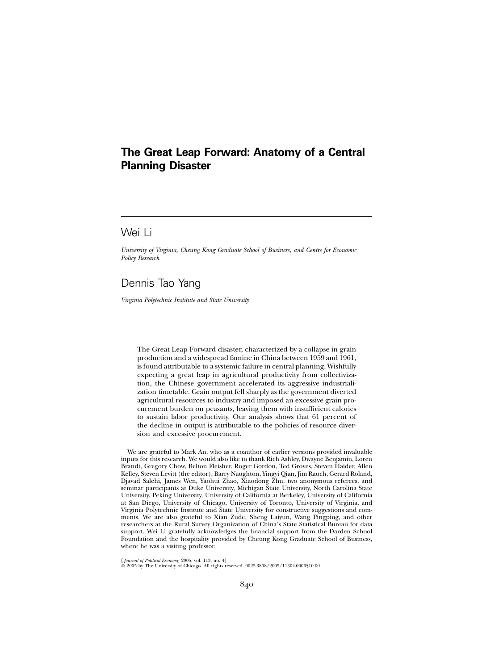# **The Great Leap Forward: Anatomy of a Central Planning Disaster**

# Wei Li

*University of Virginia, Cheung Kong Graduate School of Business, and Centre for Economic Policy Research*

# Dennis Tao Yang

*Virginia Polytechnic Institute and State University*

The Great Leap Forward disaster, characterized by a collapse in grain production and a widespread famine in China between 1959 and 1961, is found attributable to a systemic failure in central planning. Wishfully expecting a great leap in agricultural productivity from collectivization, the Chinese government accelerated its aggressive industrialization timetable. Grain output fell sharply as the government diverted agricultural resources to industry and imposed an excessive grain procurement burden on peasants, leaving them with insufficient calories to sustain labor productivity. Our analysis shows that 61 percent of the decline in output is attributable to the policies of resource diversion and excessive procurement.

We are grateful to Mark An, who as a coauthor of earlier versions provided invaluable inputs for this research. We would also like to thank Rich Ashley, Dwayne Benjamin, Loren Brandt, Gregory Chow, Belton Fleisher, Roger Gordon, Ted Groves, Steven Haider, Allen Kelley, Steven Levitt (the editor), Barry Naughton, Yingyi Qian, Jim Rauch, Gerard Roland, Djavad Salehi, James Wen, Yaohui Zhao, Xiaodong Zhu, two anonymous referees, and seminar participants at Duke University, Michigan State University, North Carolina State University, Peking University, University of California at Berkeley, University of California at San Diego, University of Chicago, University of Toronto, University of Virginia, and Virginia Polytechnic Institute and State University for constructive suggestions and comments. We are also grateful to Xian Zude, Sheng Laiyun, Wang Pingping, and other researchers at the Rural Survey Organization of China's State Statistical Bureau for data support. Wei Li gratefully acknowledges the financial support from the Darden School Foundation and the hospitality provided by Cheung Kong Graduate School of Business, where he was a visiting professor.

[*Journal of Political Econom*y, 2005, vol. 113, no. 4]<br>© 2005 by The University of Chicago. All rights reserved. 0022-3808/2005/11304-0006\$10.00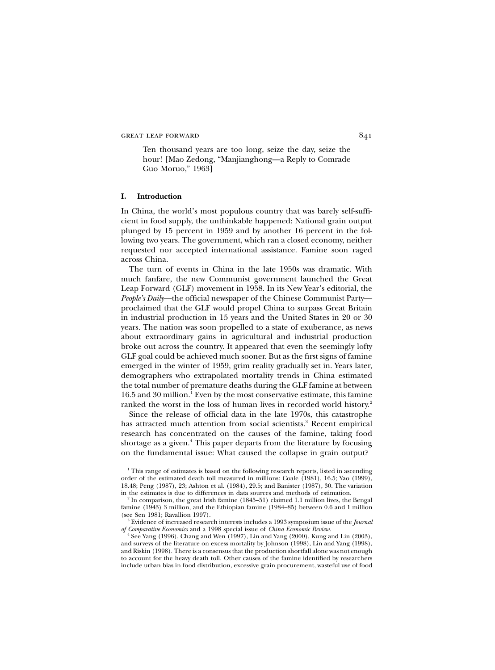Ten thousand years are too long, seize the day, seize the hour! [Mao Zedong, "Manjianghong—a Reply to Comrade Guo Moruo," 1963]

# **I. Introduction**

In China, the world's most populous country that was barely self-sufficient in food supply, the unthinkable happened: National grain output plunged by 15 percent in 1959 and by another 16 percent in the following two years. The government, which ran a closed economy, neither requested nor accepted international assistance. Famine soon raged across China.

The turn of events in China in the late 1950s was dramatic. With much fanfare, the new Communist government launched the Great Leap Forward (GLF) movement in 1958. In its New Year's editorial, the *People's Daily*—the official newspaper of the Chinese Communist Party proclaimed that the GLF would propel China to surpass Great Britain in industrial production in 15 years and the United States in 20 or 30 years. The nation was soon propelled to a state of exuberance, as news about extraordinary gains in agricultural and industrial production broke out across the country. It appeared that even the seemingly lofty GLF goal could be achieved much sooner. But as the first signs of famine emerged in the winter of 1959, grim reality gradually set in. Years later, demographers who extrapolated mortality trends in China estimated the total number of premature deaths during the GLF famine at between 16.5 and 30 million.<sup>1</sup> Even by the most conservative estimate, this famine ranked the worst in the loss of human lives in recorded world history.<sup>2</sup>

Since the release of official data in the late 1970s, this catastrophe has attracted much attention from social scientists.<sup>3</sup> Recent empirical research has concentrated on the causes of the famine, taking food shortage as a given.<sup>4</sup> This paper departs from the literature by focusing on the fundamental issue: What caused the collapse in grain output?

<sup>&</sup>lt;sup>1</sup> This range of estimates is based on the following research reports, listed in ascending order of the estimated death toll measured in millions: Coale (1981), 16.5; Yao (1999), 18.48; Peng (1987), 23; Ashton et al. (1984), 29.5; and Banister (1987), 30. The variation in the estimates is due to differences in data sources and methods of estimation.

<sup>&</sup>lt;sup>2</sup> In comparison, the great Irish famine (1845–51) claimed 1.1 million lives, the Bengal famine (1943) 3 million, and the Ethiopian famine (1984–85) between 0.6 and 1 million (see Sen 1981; Ravallion 1997).

<sup>3</sup> Evidence of increased research interests includes a 1993 symposium issue of the *Journal of Comparative Economics* and a 1998 special issue of *China Economic Review*.

<sup>4</sup> See Yang (1996), Chang and Wen (1997), Lin and Yang (2000), Kung and Lin (2003), and surveys of the literature on excess mortality by Johnson (1998), Lin and Yang (1998), and Riskin (1998). There is a consensus that the production shortfall alone was not enough to account for the heavy death toll. Other causes of the famine identified by researchers include urban bias in food distribution, excessive grain procurement, wasteful use of food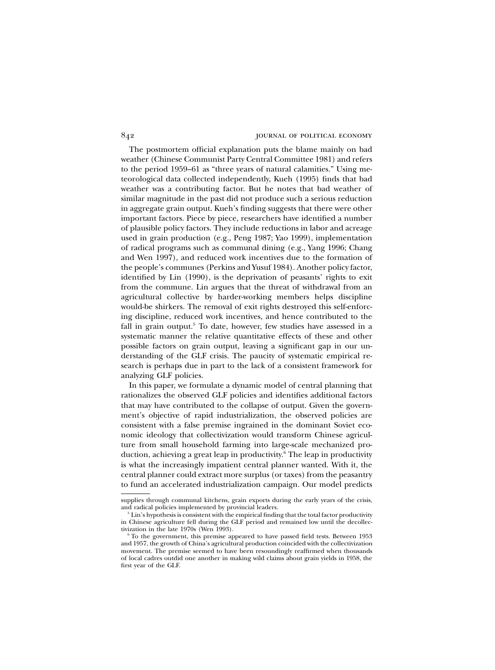The postmortem official explanation puts the blame mainly on bad weather (Chinese Communist Party Central Committee 1981) and refers to the period 1959–61 as "three years of natural calamities." Using meteorological data collected independently, Kueh (1995) finds that bad weather was a contributing factor. But he notes that bad weather of similar magnitude in the past did not produce such a serious reduction in aggregate grain output. Kueh's finding suggests that there were other important factors. Piece by piece, researchers have identified a number of plausible policy factors. They include reductions in labor and acreage used in grain production (e.g., Peng 1987; Yao 1999), implementation of radical programs such as communal dining (e.g., Yang 1996; Chang and Wen 1997), and reduced work incentives due to the formation of the people's communes (Perkins and Yusuf 1984). Another policy factor, identified by Lin (1990), is the deprivation of peasants' rights to exit from the commune. Lin argues that the threat of withdrawal from an agricultural collective by harder-working members helps discipline would-be shirkers. The removal of exit rights destroyed this self-enforcing discipline, reduced work incentives, and hence contributed to the fall in grain output.<sup>5</sup> To date, however, few studies have assessed in a systematic manner the relative quantitative effects of these and other possible factors on grain output, leaving a significant gap in our understanding of the GLF crisis. The paucity of systematic empirical research is perhaps due in part to the lack of a consistent framework for analyzing GLF policies.

In this paper, we formulate a dynamic model of central planning that rationalizes the observed GLF policies and identifies additional factors that may have contributed to the collapse of output. Given the government's objective of rapid industrialization, the observed policies are consistent with a false premise ingrained in the dominant Soviet economic ideology that collectivization would transform Chinese agriculture from small household farming into large-scale mechanized production, achieving a great leap in productivity.<sup>6</sup> The leap in productivity is what the increasingly impatient central planner wanted. With it, the central planner could extract more surplus (or taxes) from the peasantry to fund an accelerated industrialization campaign. Our model predicts

supplies through communal kitchens, grain exports during the early years of the crisis, and radical policies implemented by provincial leaders.

 $<sup>5</sup>$  Lin's hypothesis is consistent with the empirical finding that the total factor productivity</sup> in Chinese agriculture fell during the GLF period and remained low until the decollectivization in the late 1970s (Wen 1993).

<sup>&</sup>lt;sup>6</sup> To the government, this premise appeared to have passed field tests. Between 1953 and 1957, the growth of China's agricultural production coincided with the collectivization movement. The premise seemed to have been resoundingly reaffirmed when thousands of local cadres outdid one another in making wild claims about grain yields in 1958, the first year of the GLF.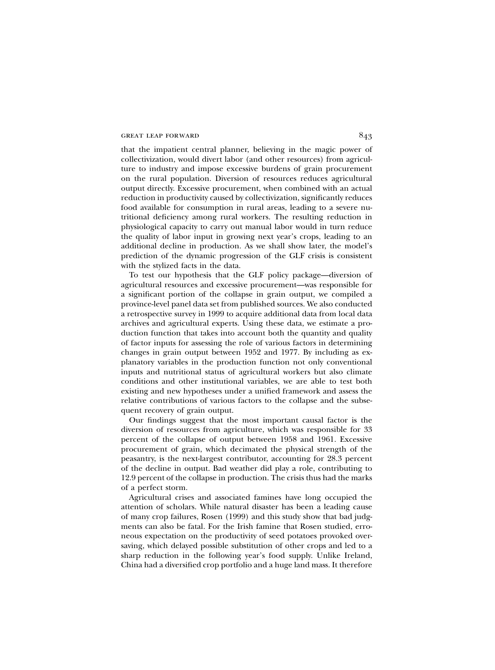that the impatient central planner, believing in the magic power of collectivization, would divert labor (and other resources) from agriculture to industry and impose excessive burdens of grain procurement on the rural population. Diversion of resources reduces agricultural output directly. Excessive procurement, when combined with an actual reduction in productivity caused by collectivization, significantly reduces food available for consumption in rural areas, leading to a severe nutritional deficiency among rural workers. The resulting reduction in physiological capacity to carry out manual labor would in turn reduce the quality of labor input in growing next year's crops, leading to an additional decline in production. As we shall show later, the model's prediction of the dynamic progression of the GLF crisis is consistent with the stylized facts in the data.

To test our hypothesis that the GLF policy package—diversion of agricultural resources and excessive procurement—was responsible for a significant portion of the collapse in grain output, we compiled a province-level panel data set from published sources. We also conducted a retrospective survey in 1999 to acquire additional data from local data archives and agricultural experts. Using these data, we estimate a production function that takes into account both the quantity and quality of factor inputs for assessing the role of various factors in determining changes in grain output between 1952 and 1977. By including as explanatory variables in the production function not only conventional inputs and nutritional status of agricultural workers but also climate conditions and other institutional variables, we are able to test both existing and new hypotheses under a unified framework and assess the relative contributions of various factors to the collapse and the subsequent recovery of grain output.

Our findings suggest that the most important causal factor is the diversion of resources from agriculture, which was responsible for 33 percent of the collapse of output between 1958 and 1961. Excessive procurement of grain, which decimated the physical strength of the peasantry, is the next-largest contributor, accounting for 28.3 percent of the decline in output. Bad weather did play a role, contributing to 12.9 percent of the collapse in production. The crisis thus had the marks of a perfect storm.

Agricultural crises and associated famines have long occupied the attention of scholars. While natural disaster has been a leading cause of many crop failures, Rosen (1999) and this study show that bad judgments can also be fatal. For the Irish famine that Rosen studied, erroneous expectation on the productivity of seed potatoes provoked oversaving, which delayed possible substitution of other crops and led to a sharp reduction in the following year's food supply. Unlike Ireland, China had a diversified crop portfolio and a huge land mass. It therefore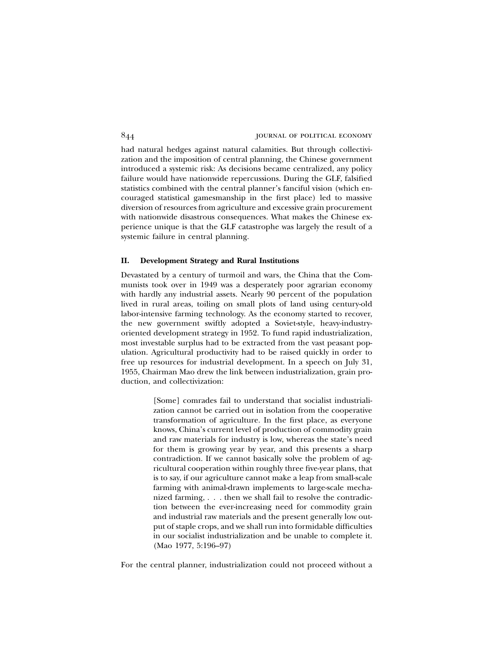# 844 JOURNAL OF POLITICAL ECONOMY

had natural hedges against natural calamities. But through collectivization and the imposition of central planning, the Chinese government introduced a systemic risk: As decisions became centralized, any policy failure would have nationwide repercussions. During the GLF, falsified statistics combined with the central planner's fanciful vision (which encouraged statistical gamesmanship in the first place) led to massive diversion of resources from agriculture and excessive grain procurement with nationwide disastrous consequences. What makes the Chinese experience unique is that the GLF catastrophe was largely the result of a systemic failure in central planning.

# **II. Development Strategy and Rural Institutions**

Devastated by a century of turmoil and wars, the China that the Communists took over in 1949 was a desperately poor agrarian economy with hardly any industrial assets. Nearly 90 percent of the population lived in rural areas, toiling on small plots of land using century-old labor-intensive farming technology. As the economy started to recover, the new government swiftly adopted a Soviet-style, heavy-industryoriented development strategy in 1952. To fund rapid industrialization, most investable surplus had to be extracted from the vast peasant population. Agricultural productivity had to be raised quickly in order to free up resources for industrial development. In a speech on July 31, 1955, Chairman Mao drew the link between industrialization, grain production, and collectivization:

> [Some] comrades fail to understand that socialist industrialization cannot be carried out in isolation from the cooperative transformation of agriculture. In the first place, as everyone knows, China's current level of production of commodity grain and raw materials for industry is low, whereas the state's need for them is growing year by year, and this presents a sharp contradiction. If we cannot basically solve the problem of agricultural cooperation within roughly three five-year plans, that is to say, if our agriculture cannot make a leap from small-scale farming with animal-drawn implements to large-scale mechanized farming, . . . then we shall fail to resolve the contradiction between the ever-increasing need for commodity grain and industrial raw materials and the present generally low output of staple crops, and we shall run into formidable difficulties in our socialist industrialization and be unable to complete it. (Mao 1977, 5:196–97)

For the central planner, industrialization could not proceed without a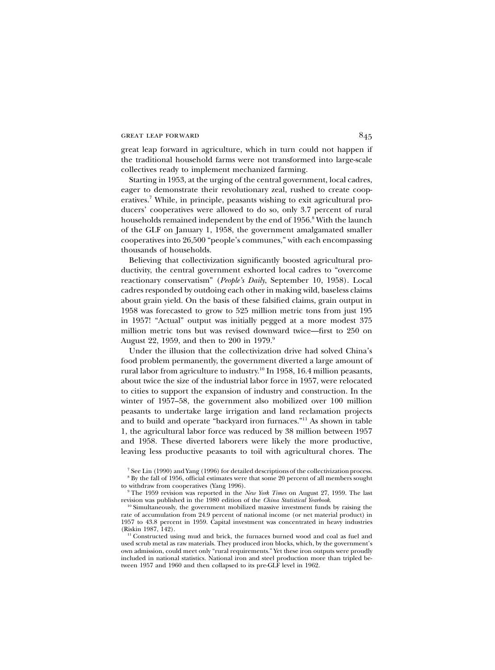great leap forward in agriculture, which in turn could not happen if the traditional household farms were not transformed into large-scale collectives ready to implement mechanized farming.

Starting in 1953, at the urging of the central government, local cadres, eager to demonstrate their revolutionary zeal, rushed to create cooperatives.<sup>7</sup> While, in principle, peasants wishing to exit agricultural producers' cooperatives were allowed to do so, only 3.7 percent of rural households remained independent by the end of 1956.<sup>8</sup> With the launch of the GLF on January 1, 1958, the government amalgamated smaller cooperatives into 26,500 "people's communes," with each encompassing thousands of households.

Believing that collectivization significantly boosted agricultural productivity, the central government exhorted local cadres to "overcome reactionary conservatism" (*People's Daily*, September 10, 1958). Local cadres responded by outdoing each other in making wild, baseless claims about grain yield. On the basis of these falsified claims, grain output in 1958 was forecasted to grow to 525 million metric tons from just 195 in 1957! "Actual" output was initially pegged at a more modest 375 million metric tons but was revised downward twice—first to 250 on August 22, 1959, and then to 200 in 1979.<sup>9</sup>

Under the illusion that the collectivization drive had solved China's food problem permanently, the government diverted a large amount of rural labor from agriculture to industry.<sup>10</sup> In 1958, 16.4 million peasants, about twice the size of the industrial labor force in 1957, were relocated to cities to support the expansion of industry and construction. In the winter of 1957–58, the government also mobilized over 100 million peasants to undertake large irrigation and land reclamation projects and to build and operate "backyard iron furnaces."<sup>11</sup> As shown in table 1, the agricultural labor force was reduced by 38 million between 1957 and 1958. These diverted laborers were likely the more productive, leaving less productive peasants to toil with agricultural chores. The

<sup>7</sup> See Lin (1990) and Yang (1996) for detailed descriptions of the collectivization process. <sup>8</sup> By the fall of 1956, official estimates were that some 20 percent of all members sought to withdraw from cooperatives (Yang 1996).

<sup>&</sup>lt;sup>9</sup> The 1959 revision was reported in the *New York Times* on August 27, 1959. The last revision was published in the 1980 edition of the *China Statistical Yearbook*.

 $10$  Simultaneously, the government mobilized massive investment funds by raising the rate of accumulation from 24.9 percent of national income (or net material product) in 1957 to 43.8 percent in 1959. Capital investment was concentrated in heavy industries (Riskin 1987, 142).

 $11$  Constructed using mud and brick, the furnaces burned wood and coal as fuel and used scrub metal as raw materials. They produced iron blocks, which, by the government's own admission, could meet only "rural requirements." Yet these iron outputs were proudly included in national statistics. National iron and steel production more than tripled between 1957 and 1960 and then collapsed to its pre-GLF level in 1962.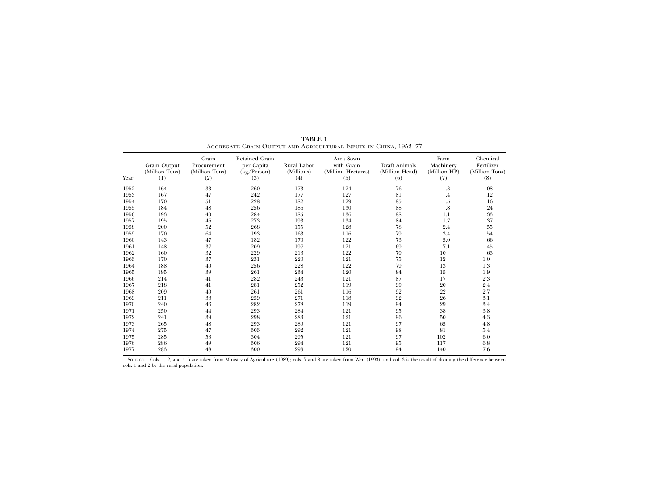| Year | Grain Output<br>(Million Tons)<br>(1) | Grain<br>Procurement<br>(Million Tons)<br>(2) | <b>Retained Grain</b><br>per Capita<br>(kg/Person)<br>(3) | Rural Labor<br>(Millions)<br>(4) | Area Sown<br>with Grain<br>(Million Hectares)<br>(5) | <b>Draft Animals</b><br>(Million Head)<br>(6) | Farm<br>Machinery<br>(Million HP)<br>(7) | Chemical<br>Fertilizer<br>(Million Tons)<br>(8) |
|------|---------------------------------------|-----------------------------------------------|-----------------------------------------------------------|----------------------------------|------------------------------------------------------|-----------------------------------------------|------------------------------------------|-------------------------------------------------|
| 1952 | 164                                   | 33                                            | 260                                                       | 173                              | 124                                                  | 76                                            | .3                                       | .08                                             |
| 1953 | 167                                   | 47                                            | 242                                                       | 177                              | 127                                                  | 81                                            | $\cdot^4$                                | .12                                             |
| 1954 | 170                                   | 51                                            | 228                                                       | 182                              | 129                                                  | 85                                            | $.5\,$                                   | .16                                             |
| 1955 | 184                                   | 48                                            | 256                                                       | 186                              | 130                                                  | 88                                            | .8                                       | .24                                             |
| 1956 | 193                                   | 40                                            | 284                                                       | 185                              | 136                                                  | 88                                            | 1.1                                      | .33                                             |
| 1957 | 195                                   | 46                                            | 273                                                       | 193                              | 134                                                  | 84                                            | 1.7                                      | .37                                             |
| 1958 | 200                                   | 52                                            | 268                                                       | 155                              | 128                                                  | 78                                            | 2.4                                      | .55                                             |
| 1959 | 170                                   | 64                                            | 193                                                       | 163                              | 116                                                  | 79                                            | 3.4                                      | .54                                             |
| 1960 | 143                                   | 47                                            | 182                                                       | 170                              | 122                                                  | 73                                            | $5.0\,$                                  | .66                                             |
| 1961 | 148                                   | 37                                            | 209                                                       | 197                              | 121                                                  | 69                                            | 7.1                                      | .45                                             |
| 1962 | 160                                   | 32                                            | 229                                                       | 213                              | 122                                                  | 70                                            | 10                                       | .63                                             |
| 1963 | 170                                   | 37                                            | 231                                                       | 220                              | 121                                                  | 75                                            | 12                                       | $1.0\,$                                         |
| 1964 | 188                                   | 40                                            | 256                                                       | 228                              | 122                                                  | 79                                            | 13                                       | 1.3                                             |
| 1965 | 195                                   | 39                                            | 261                                                       | 234                              | 120                                                  | 84                                            | 15                                       | 1.9                                             |
| 1966 | 214                                   | 41                                            | 282                                                       | 243                              | 121                                                  | 87                                            | 17                                       | 2.3                                             |
| 1967 | 218                                   | 41                                            | 281                                                       | 252                              | 119                                                  | 90                                            | 20                                       | 2.4                                             |
| 1968 | 209                                   | 40                                            | 261                                                       | 261                              | 116                                                  | 92                                            | 22                                       | 2.7                                             |
| 1969 | 211                                   | 38                                            | 259                                                       | 271                              | 118                                                  | 92                                            | 26                                       | 3.1                                             |
| 1970 | 240                                   | 46                                            | 282                                                       | 278                              | 119                                                  | 94                                            | 29                                       | 3.4                                             |
| 1971 | 250                                   | 44                                            | 293                                                       | 284                              | 121                                                  | 95                                            | 38                                       | 3.8                                             |
| 1972 | 241                                   | 39                                            | 298                                                       | 283                              | 121                                                  | 96                                            | 50                                       | 4.3                                             |
| 1973 | 265                                   | 48                                            | 293                                                       | 289                              | 121                                                  | 97                                            | 65                                       | 4.8                                             |
| 1974 | 275                                   | 47                                            | 303                                                       | 292                              | 121                                                  | 98                                            | 81                                       | 5.4                                             |
| 1975 | 285                                   | 53                                            | 304                                                       | 295                              | 121                                                  | 97                                            | 102                                      | 6.0                                             |
| 1976 | 286                                   | 49                                            | 306                                                       | 294                              | 121                                                  | 95                                            | 117                                      | 6.8                                             |
| 1977 | 283                                   | 48                                            | 300                                                       | 293                              | 120                                                  | 94                                            | 140                                      | 7.6                                             |

TABLE 1 Aggregate Grain Output and Agricultural Inputs in China, 1952–77

Source.—Cols. 1, 2, and 4–6 are taken from Ministry of Agriculture (1989); cols. 7 and 8 are taken from Wen (1993); and col. 3 is the result of dividing the difference between cols. 1 and 2 by the rural population.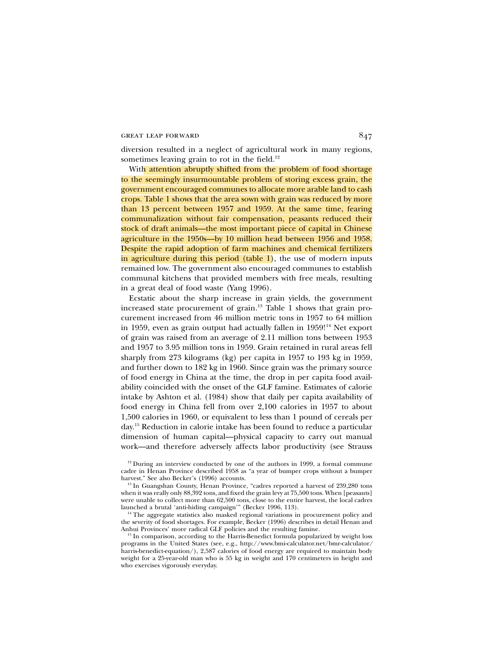diversion resulted in a neglect of agricultural work in many regions, sometimes leaving grain to rot in the field. $12$ 

With attention abruptly shifted from the problem of food shortage to the seemingly insurmountable problem of storing excess grain, the government encouraged communes to allocate more arable land to cash crops. Table 1 shows that the area sown with grain was reduced by more than 13 percent between 1957 and 1959. At the same time, fearing communalization without fair compensation, peasants reduced their stock of draft animals—the most important piece of capital in Chinese agriculture in the 1950s—by 10 million head between 1956 and 1958. Despite the rapid adoption of farm machines and chemical fertilizers in agriculture during this period (table 1), the use of modern inputs remained low. The government also encouraged communes to establish communal kitchens that provided members with free meals, resulting in a great deal of food waste (Yang 1996).

Ecstatic about the sharp increase in grain yields, the government increased state procurement of grain.<sup>13</sup> Table 1 shows that grain procurement increased from 46 million metric tons in 1957 to 64 million in 1959, even as grain output had actually fallen in 1959!<sup>14</sup> Net export of grain was raised from an average of 2.11 million tons between 1953 and 1957 to 3.95 million tons in 1959. Grain retained in rural areas fell sharply from 273 kilograms (kg) per capita in 1957 to 193 kg in 1959, and further down to 182 kg in 1960. Since grain was the primary source of food energy in China at the time, the drop in per capita food availability coincided with the onset of the GLF famine. Estimates of calorie intake by Ashton et al. (1984) show that daily per capita availability of food energy in China fell from over 2,100 calories in 1957 to about 1,500 calories in 1960, or equivalent to less than 1 pound of cereals per day.<sup>15</sup> Reduction in calorie intake has been found to reduce a particular dimension of human capital—physical capacity to carry out manual work—and therefore adversely affects labor productivity (see Strauss

<sup>14</sup> The aggregate statistics also masked regional variations in procurement policy and the severity of food shortages. For example, Becker (1996) describes in detail Henan and Anhui Provinces' more radical GLF policies and the resulting famine.

<sup>15</sup> In comparison, according to the Harris-Benedict formula popularized by weight loss programs in the United States (see, e.g., http://www.bmi-calculator.net/bmr-calculator/ harris-benedict-equation/), 2,587 calories of food energy are required to maintain body weight for a 25-year-old man who is 55 kg in weight and 170 centimeters in height and who exercises vigorously everyday.

<sup>&</sup>lt;sup>12</sup> During an interview conducted by one of the authors in 1999, a formal commune cadre in Henan Province described 1958 as "a year of bumper crops without a bumper harvest." See also Becker's (1996) accounts.

<sup>&</sup>lt;sup>13</sup> In Guangshan County, Henan Province, "cadres reported a harvest of 239,280 tons when it was really only 88,392 tons, and fixed the grain levy at 75,500 tons. When [peasants] were unable to collect more than 62,500 tons, close to the entire harvest, the local cadres launched a brutal 'anti-hiding campaign'" (Becker 1996, 113).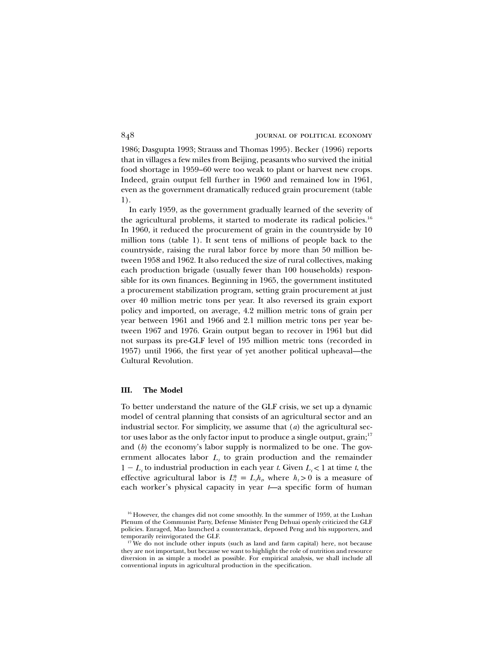1986; Dasgupta 1993; Strauss and Thomas 1995). Becker (1996) reports that in villages a few miles from Beijing, peasants who survived the initial food shortage in 1959–60 were too weak to plant or harvest new crops. Indeed, grain output fell further in 1960 and remained low in 1961, even as the government dramatically reduced grain procurement (table 1).

In early 1959, as the government gradually learned of the severity of the agricultural problems, it started to moderate its radical policies.<sup>16</sup> In 1960, it reduced the procurement of grain in the countryside by 10 million tons (table 1). It sent tens of millions of people back to the countryside, raising the rural labor force by more than 50 million between 1958 and 1962. It also reduced the size of rural collectives, making each production brigade (usually fewer than 100 households) responsible for its own finances. Beginning in 1965, the government instituted a procurement stabilization program, setting grain procurement at just over 40 million metric tons per year. It also reversed its grain export policy and imported, on average, 4.2 million metric tons of grain per year between 1961 and 1966 and 2.1 million metric tons per year between 1967 and 1976. Grain output began to recover in 1961 but did not surpass its pre-GLF level of 195 million metric tons (recorded in 1957) until 1966, the first year of yet another political upheaval—the Cultural Revolution.

# **III. The Model**

To better understand the nature of the GLF crisis, we set up a dynamic model of central planning that consists of an agricultural sector and an industrial sector. For simplicity, we assume that (*a*) the agricultural sector uses labor as the only factor input to produce a single output,  $grain;^{17}$ and (*b*) the economy's labor supply is normalized to be one. The government allocates labor  $L<sub>t</sub>$  to grain production and the remainder  $1 - L_t$  to industrial production in each year *t*. Given  $L_t < 1$  at time *t*, the effective agricultural labor is  $L_t^* = L_t h_t$ , where  $h_t > 0$  is a measure of each worker's physical capacity in year *t*—a specific form of human

<sup>&</sup>lt;sup>16</sup> However, the changes did not come smoothly. In the summer of 1959, at the Lushan Plenum of the Communist Party, Defense Minister Peng Dehuai openly criticized the GLF policies. Enraged, Mao launched a counterattack, deposed Peng and his supporters, and temporarily reinvigorated the GLF.

 $17$  We do not include other inputs (such as land and farm capital) here, not because they are not important, but because we want to highlight the role of nutrition and resource diversion in as simple a model as possible. For empirical analysis, we shall include all conventional inputs in agricultural production in the specification.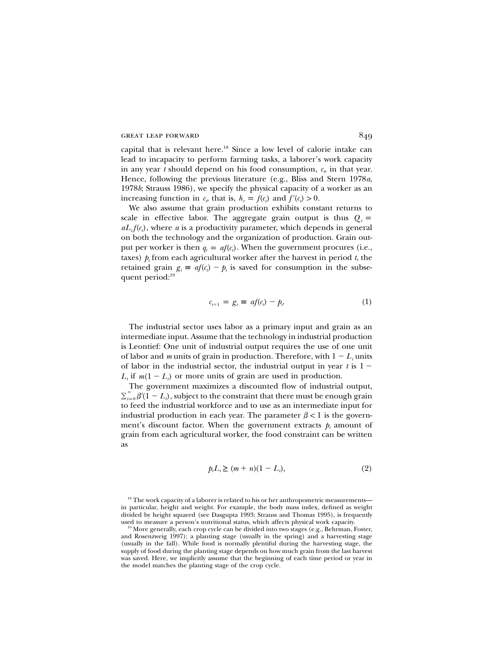capital that is relevant here.<sup>18</sup> Since a low level of calorie intake can lead to incapacity to perform farming tasks, a laborer's work capacity in any year *t* should depend on his food consumption,  $c<sub>c</sub>$ , in that year. Hence, following the previous literature (e.g., Bliss and Stern 1978*a*, 1978*b*; Strauss 1986), we specify the physical capacity of a worker as an increasing function in  $c_e$ , that is,  $h_t = f(c_t)$  and  $f'(c_t) > 0$ .

We also assume that grain production exhibits constant returns to scale in effective labor. The aggregate grain output is thus  $Q_t =$  $aL_f(c)$ , where *a* is a productivity parameter, which depends in general on both the technology and the organization of production. Grain output per worker is then  $q_t = af(c_t)$ . When the government procures (i.e., taxes)  $p_{\iota}$  from each agricultural worker after the harvest in period  $t$ , the retained grain  $g_i \equiv af(c_i) - p_i$  is saved for consumption in the subsequent period:<sup>19</sup>

$$
c_{t+1} = g_t \equiv af(c_t) - p_t. \tag{1}
$$

The industrial sector uses labor as a primary input and grain as an intermediate input. Assume that the technology in industrial production is Leontief: One unit of industrial output requires the use of one unit of labor and *m* units of grain in production. Therefore, with  $1 - L<sub>t</sub>$  units of labor in the industrial sector, the industrial output in year  $t$  is  $1 -$ *L<sub>t</sub>* if  $m(1 - L_i)$  or more units of grain are used in production.

The government maximizes a discounted flow of industrial output,  $\sum_{i=0}^{\infty} \beta^{i} (1 - L_{i})$ , subject to the constraint that there must be enough grain to feed the industrial workforce and to use as an intermediate input for industrial production in each year. The parameter  $\beta$  < 1 is the government's discount factor. When the government extracts  $p_t$  amount of grain from each agricultural worker, the food constraint can be written as

$$
ptLt \ge (m+n)(1-Lt), \tag{2}
$$

 $18$  The work capacity of a laborer is related to his or her anthropometric measurements in particular, height and weight. For example, the body mass index, defined as weight divided by height squared (see Dasgupta 1993; Strauss and Thomas 1995), is frequently used to measure a person's nutritional status, which affects physical work capacity.

 $19$  More generally, each crop cycle can be divided into two stages (e.g., Behrman, Foster, and Rosenzweig 1997): a planting stage (usually in the spring) and a harvesting stage (usually in the fall). While food is normally plentiful during the harvesting stage, the supply of food during the planting stage depends on how much grain from the last harvest was saved. Here, we implicitly assume that the beginning of each time period or year in the model matches the planting stage of the crop cycle.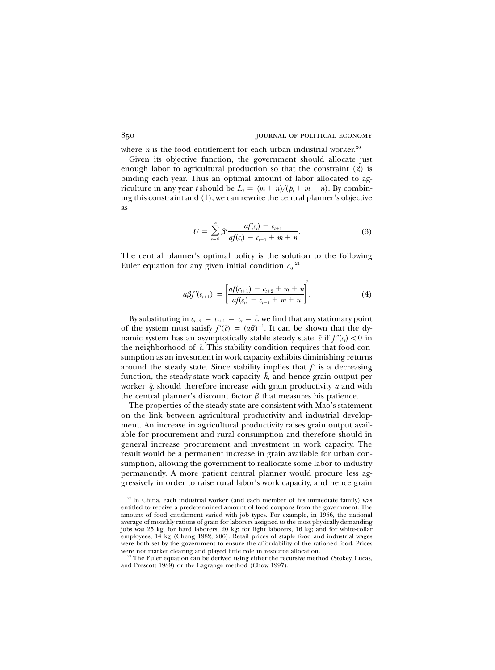where *n* is the food entitlement for each urban industrial worker.<sup>20</sup>

Given its objective function, the government should allocate just enough labor to agricultural production so that the constraint (2) is binding each year. Thus an optimal amount of labor allocated to agriculture in any year *t* should be  $L_t = (m + n)/(p_t + m + n)$ . By combining this constraint and (1), we can rewrite the central planner's objective as

$$
U = \sum_{t=0}^{\infty} \beta^t \frac{af(c_t) - c_{t+1}}{af(c_t) - c_{t+1} + m + n}.
$$
 (3)

The central planner's optimal policy is the solution to the following Euler equation for any given initial condition  $c_0$ <sup>21</sup>

$$
a\beta f'(c_{i+1}) = \left[\frac{af(c_{i+1}) - c_{i+2} + m + n}{af(c_i) - c_{i+1} + m + n}\right]^2.
$$
 (4)

By substituting in  $c_{i+2} = c_{i+1} = c_i = \overline{c}$ , we find that any stationary point of the system must satisfy  $f'(\bar{c}) = (a\beta)^{-1}$ . It can be shown that the dynamic system has an asymptotically stable steady state  $\bar{c}$  if  $f''(c_i) < 0$  in the neighborhood of  $\bar{c}$ . This stability condition requires that food consumption as an investment in work capacity exhibits diminishing returns around the steady state. Since stability implies that  $f'$  is a decreasing function, the steady-state work capacity h, and hence grain output per worker  $\bar{q}$ , should therefore increase with grain productivity  $q$  and with the central planner's discount factor  $\beta$  that measures his patience.

The properties of the steady state are consistent with Mao's statement on the link between agricultural productivity and industrial development. An increase in agricultural productivity raises grain output available for procurement and rural consumption and therefore should in general increase procurement and investment in work capacity. The result would be a permanent increase in grain available for urban consumption, allowing the government to reallocate some labor to industry permanently. A more patient central planner would procure less aggressively in order to raise rural labor's work capacity, and hence grain

 $20$  In China, each industrial worker (and each member of his immediate family) was entitled to receive a predetermined amount of food coupons from the government. The amount of food entitlement varied with job types. For example, in 1956, the national average of monthly rations of grain for laborers assigned to the most physically demanding jobs was 25 kg; for hard laborers, 20 kg; for light laborers, 16 kg; and for white-collar employees, 14 kg (Cheng 1982, 206). Retail prices of staple food and industrial wages were both set by the government to ensure the affordability of the rationed food. Prices were not market clearing and played little role in resource allocation.

 $21$ <sup>21</sup> The Euler equation can be derived using either the recursive method (Stokey, Lucas, and Prescott 1989) or the Lagrange method (Chow 1997).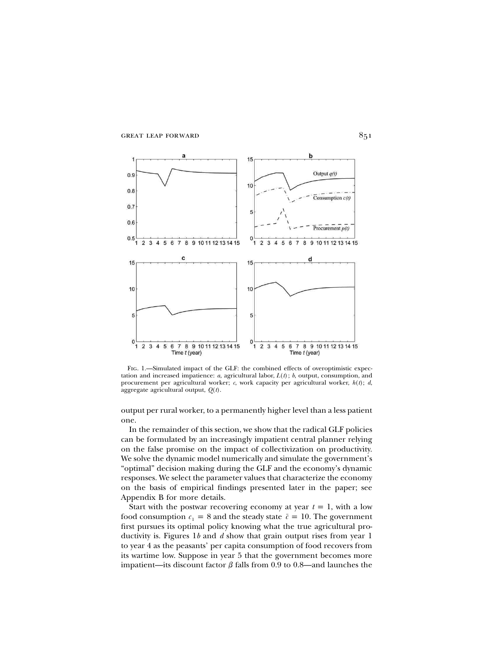

FIG. 1.—Simulated impact of the GLF: the combined effects of overoptimistic expectation and increased impatience: *a*, agricultural labor,  $L(t)$ ; *b*, output, consumption, and procurement per agricultural worker;  $c$ , work capacity per agricultural worker,  $h(t)$ ;  $d$ , aggregate agricultural output,  $Q(t)$ .

output per rural worker, to a permanently higher level than a less patient one.

In the remainder of this section, we show that the radical GLF policies can be formulated by an increasingly impatient central planner relying on the false promise on the impact of collectivization on productivity. We solve the dynamic model numerically and simulate the government's "optimal" decision making during the GLF and the economy's dynamic responses. We select the parameter values that characterize the economy on the basis of empirical findings presented later in the paper; see Appendix B for more details.

Start with the postwar recovering economy at year  $t = 1$ , with a low food consumption  $c_1 = 8$  and the steady state  $\bar{c} = 10$ . The government first pursues its optimal policy knowing what the true agricultural productivity is. Figures 1*b* and *d* show that grain output rises from year 1 to year 4 as the peasants' per capita consumption of food recovers from its wartime low. Suppose in year 5 that the government becomes more impatient—its discount factor  $\beta$  falls from 0.9 to 0.8—and launches the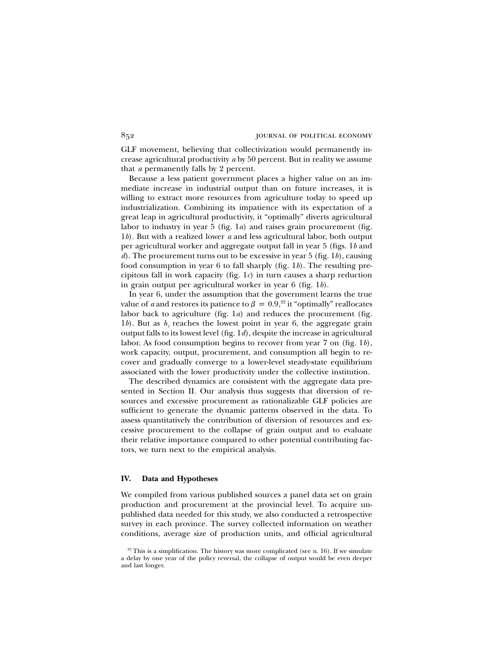GLF movement, believing that collectivization would permanently increase agricultural productivity *a* by 50 percent. But in reality we assume that *a* permanently falls by 2 percent.

Because a less patient government places a higher value on an immediate increase in industrial output than on future increases, it is willing to extract more resources from agriculture today to speed up industrialization. Combining its impatience with its expectation of a great leap in agricultural productivity, it "optimally" diverts agricultural labor to industry in year 5 (fig. 1*a*) and raises grain procurement (fig. 1*b*). But with a realized lower *a* and less agricultural labor, both output per agricultural worker and aggregate output fall in year 5 (figs. 1*b* and *d*). The procurement turns out to be excessive in year 5 (fig. 1*b*), causing food consumption in year 6 to fall sharply (fig. 1*b*). The resulting precipitous fall in work capacity (fig. 1*c*) in turn causes a sharp reduction in grain output per agricultural worker in year 6 (fig. 1*b*).

In year 6, under the assumption that the government learns the true value of *a* and restores its patience to  $\beta = 0.9$ ,<sup>22</sup> it "optimally" reallocates labor back to agriculture (fig. 1*a*) and reduces the procurement (fig. 1*b*). But as  $h_t$  reaches the lowest point in year 6, the aggregate grain output falls to its lowest level (fig. 1*d*), despite the increase in agricultural labor. As food consumption begins to recover from year 7 on (fig. 1*b*), work capacity, output, procurement, and consumption all begin to recover and gradually converge to a lower-level steady-state equilibrium associated with the lower productivity under the collective institution.

The described dynamics are consistent with the aggregate data presented in Section II. Our analysis thus suggests that diversion of resources and excessive procurement as rationalizable GLF policies are sufficient to generate the dynamic patterns observed in the data. To assess quantitatively the contribution of diversion of resources and excessive procurement to the collapse of grain output and to evaluate their relative importance compared to other potential contributing factors, we turn next to the empirical analysis.

# **IV. Data and Hypotheses**

We compiled from various published sources a panel data set on grain production and procurement at the provincial level. To acquire unpublished data needed for this study, we also conducted a retrospective survey in each province. The survey collected information on weather conditions, average size of production units, and official agricultural

 $22$  This is a simplification. The history was more complicated (see n. 16). If we simulate a delay by one year of the policy reversal, the collapse of output would be even deeper and last longer.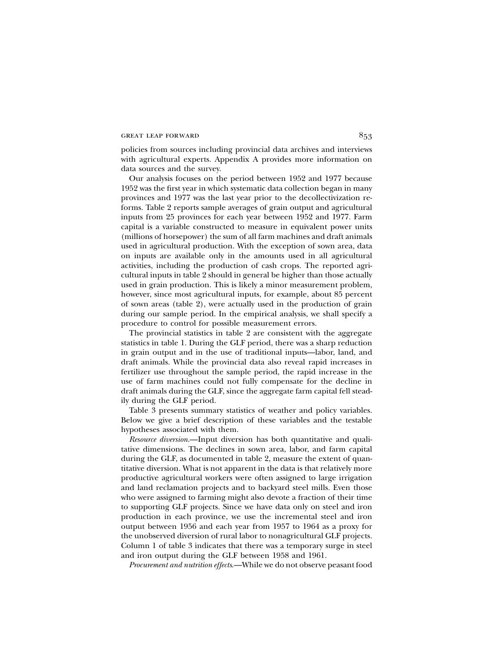policies from sources including provincial data archives and interviews with agricultural experts. Appendix A provides more information on data sources and the survey.

Our analysis focuses on the period between 1952 and 1977 because 1952 was the first year in which systematic data collection began in many provinces and 1977 was the last year prior to the decollectivization reforms. Table 2 reports sample averages of grain output and agricultural inputs from 25 provinces for each year between 1952 and 1977. Farm capital is a variable constructed to measure in equivalent power units (millions of horsepower) the sum of all farm machines and draft animals used in agricultural production. With the exception of sown area, data on inputs are available only in the amounts used in all agricultural activities, including the production of cash crops. The reported agricultural inputs in table 2 should in general be higher than those actually used in grain production. This is likely a minor measurement problem, however, since most agricultural inputs, for example, about 85 percent of sown areas (table 2), were actually used in the production of grain during our sample period. In the empirical analysis, we shall specify a procedure to control for possible measurement errors.

The provincial statistics in table 2 are consistent with the aggregate statistics in table 1. During the GLF period, there was a sharp reduction in grain output and in the use of traditional inputs—labor, land, and draft animals. While the provincial data also reveal rapid increases in fertilizer use throughout the sample period, the rapid increase in the use of farm machines could not fully compensate for the decline in draft animals during the GLF, since the aggregate farm capital fell steadily during the GLF period.

Table 3 presents summary statistics of weather and policy variables. Below we give a brief description of these variables and the testable hypotheses associated with them.

*Resource diversion*.—Input diversion has both quantitative and qualitative dimensions. The declines in sown area, labor, and farm capital during the GLF, as documented in table 2, measure the extent of quantitative diversion. What is not apparent in the data is that relatively more productive agricultural workers were often assigned to large irrigation and land reclamation projects and to backyard steel mills. Even those who were assigned to farming might also devote a fraction of their time to supporting GLF projects. Since we have data only on steel and iron production in each province, we use the incremental steel and iron output between 1956 and each year from 1957 to 1964 as a proxy for the unobserved diversion of rural labor to nonagricultural GLF projects. Column 1 of table 3 indicates that there was a temporary surge in steel and iron output during the GLF between 1958 and 1961.

*Procurement and nutrition effects*.—While we do not observe peasant food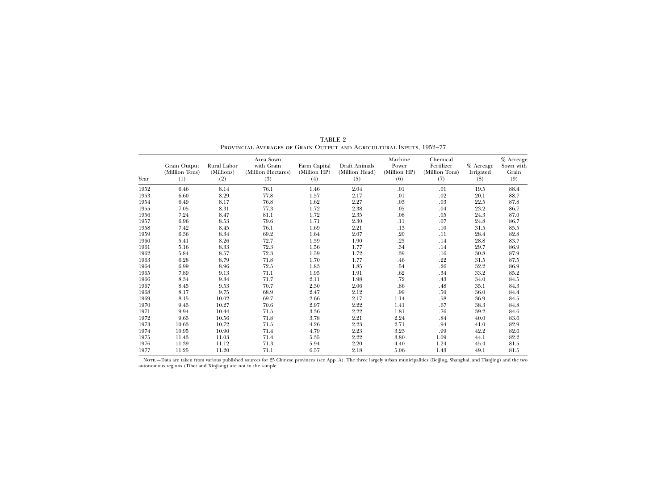| Year | Grain Output<br>(Million Tons)<br>(1) | Rural Labor<br>(Millions)<br>(2) | Area Sown<br>with Grain<br>(Million Hectares)<br>(3) | Farm Capital<br>(Million HP)<br>(4) | Draft Animals<br>(Million Head)<br>(5) | Machine<br>Power<br>(Million HP)<br>(6) | Chemical<br>Fertilizer<br>(Million Tons)<br>(7) | % Acreage<br>Irrigated<br>(8) | % Acreage<br>Sown with<br>Grain<br>(9) |
|------|---------------------------------------|----------------------------------|------------------------------------------------------|-------------------------------------|----------------------------------------|-----------------------------------------|-------------------------------------------------|-------------------------------|----------------------------------------|
| 1952 | 6.46                                  | 8.14                             | 76.1                                                 | 1.46                                | 2.04                                   | .01                                     | .01                                             | 19.5                          | 88.4                                   |
| 1953 | 6.60                                  | 8.29                             | 77.8                                                 | 1.57                                | 2.17                                   | .01                                     | .02                                             | 20.1                          | 88.7                                   |
| 1954 | 6.49                                  | 8.17                             | 76.8                                                 | 1.62                                | 2.27                                   | .03                                     | .03                                             | 22.5                          | 87.8                                   |
| 1955 | 7.05                                  | 8.31                             | 77.3                                                 | 1.72                                | 2.38                                   | .05                                     | .04                                             | 23.2                          | 86.7                                   |
| 1956 | 7.24                                  | 8.47                             | 81.1                                                 | 1.72                                | 2.35                                   | .08                                     | .05                                             | 24.3                          | 87.0                                   |
| 1957 | 6.96                                  | 8.53                             | 79.6                                                 | 1.71                                | 2.30                                   | .11                                     | .07                                             | 24.8                          | 86.7                                   |
| 1958 | 7.42                                  | 8.45                             | 76.1                                                 | 1.69                                | 2.21                                   | .13                                     | .10                                             | 31.5                          | 85.5                                   |
| 1959 | 6.36                                  | 8.34                             | 69.2                                                 | 1.64                                | 2.07                                   | .20                                     | .11                                             | 28.4                          | 82.8                                   |
| 1960 | 5.41                                  | 8.26                             | 72.7                                                 | 1.59                                | 1.90                                   | .25                                     | .14                                             | 28.8                          | 83.7                                   |
| 1961 | 5.16                                  | 8.33                             | 72.3                                                 | 1.56                                | 1.77                                   | .34                                     | .14                                             | 29.7                          | 86.9                                   |
| 1962 | 5.84                                  | 8.57                             | 72.3                                                 | 1.59                                | 1.72                                   | .39                                     | .16                                             | 30.8                          | 87.9                                   |
| 1963 | 6.28                                  | 8.79                             | 71.8                                                 | 1.70                                | 1.77                                   | .46                                     | .22                                             | 31.5                          | 87.5                                   |
| 1964 | 6.99                                  | 8.96                             | 72.5                                                 | 1.83                                | 1.85                                   | .54                                     | .26                                             | 32.2                          | 86.9                                   |
| 1965 | 7.89                                  | 9.13                             | 71.1                                                 | 1.95                                | 1.91                                   | .62                                     | .34                                             | 33.2                          | 85.2                                   |
| 1966 | 8.34                                  | 9.34                             | 71.7                                                 | 2.11                                | 1.98                                   | .72                                     | .43                                             | 34.0                          | 84.5                                   |
| 1967 | 8.45                                  | 9.53                             | 70.7                                                 | 2.30                                | 2.06                                   | .86                                     | .48                                             | 35.1                          | 84.3                                   |
| 1968 | 8.17                                  | 9.75                             | 68.9                                                 | 2.47                                | 2.12                                   | .99                                     | .50                                             | 36.0                          | 84.4                                   |
| 1969 | 8.15                                  | 10.02                            | 69.7                                                 | 2.66                                | 2.17                                   | 1.14                                    | .58                                             | 36.9                          | 84.5                                   |
| 1970 | 9.43                                  | 10.27                            | 70.6                                                 | 2.97                                | 2.22                                   | 1.41                                    | .67                                             | 38.3                          | 84.8                                   |
| 1971 | 9.94                                  | 10.44                            | 71.5                                                 | 3.36                                | 2.22                                   | 1.81                                    | .76                                             | 39.2                          | 84.6                                   |
| 1972 | 9.63                                  | 10.56                            | 71.8                                                 | 3.78                                | 2.21                                   | 2.24                                    | .84                                             | 40.0                          | 83.6                                   |
| 1973 | 10.63                                 | 10.72                            | 71.5                                                 | 4.26                                | 2.23                                   | 2.71                                    | .94                                             | 41.0                          | 82.9                                   |
| 1974 | 10.95                                 | 10.90                            | 71.4                                                 | 4.79                                | 2.23                                   | 3.23                                    | .99                                             | 42.2                          | 82.6                                   |
| 1975 | 11.43                                 | 11.03                            | 71.4                                                 | 5.35                                | 2.22                                   | 3.80                                    | 1.09                                            | 44.1                          | 82.2                                   |
| 1976 | 11.39                                 | 11.12                            | 71.3                                                 | 5.94                                | 2.20                                   | 4.40                                    | 1.24                                            | 45.4                          | 81.5                                   |
| 1977 | 11.25                                 | 11.20                            | 71.1                                                 | 6.57                                | 2.18                                   | 5.06                                    | 1.43                                            | 49.1                          | 81.5                                   |

TABLE 2 Provincial Averages of Grain Output and Agricultural Inputs, 1952–77

Nore.—Data are taken from various published sources for 25 Chinese provinces (see App. A). The three largely urban municipalities (Beijing, Shanghai, and Tianjing) and the two autonomous regions (Tibet and Xinjiang) are no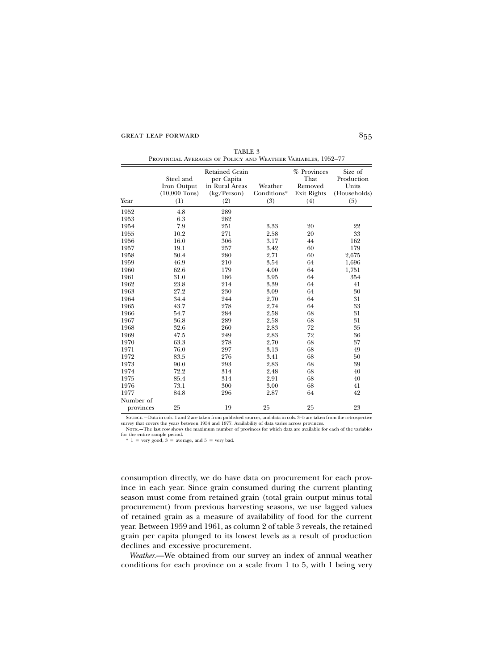TABLE 3 Provincial Averages of Policy and Weather Variables, 1952–77

| Year      | Steel and<br>Iron Output<br>$(10,000$ Tons)<br>(1) | <b>Retained Grain</b><br>per Capita<br>in Rural Areas<br>(kg/Person)<br>(2) | Weather<br>Conditions*<br>(3) | % Provinces<br>That<br>Removed<br><b>Exit Rights</b><br>(4) | Size of<br>Production<br>Units<br>(Households)<br>(5) |
|-----------|----------------------------------------------------|-----------------------------------------------------------------------------|-------------------------------|-------------------------------------------------------------|-------------------------------------------------------|
| 1952      | 4.8                                                | 289                                                                         |                               |                                                             |                                                       |
| 1953      | 6.3                                                | 282                                                                         |                               |                                                             |                                                       |
| 1954      | 7.9                                                | 251                                                                         | 3.33                          | 20                                                          | 22                                                    |
| 1955      | 10.2                                               | 271                                                                         | 2.58                          | 20                                                          | 33                                                    |
| 1956      | 16.0                                               | 306                                                                         | 3.17                          | 44                                                          | 162                                                   |
| 1957      | 19.1                                               | 257                                                                         | 3.42                          | 60                                                          | 179                                                   |
| 1958      | 30.4                                               | 280                                                                         | 2.71                          | 60                                                          | 2,675                                                 |
| 1959      | 46.9                                               | 210                                                                         | 3.54                          | 64                                                          | 1,696                                                 |
| 1960      | 62.6                                               | 179                                                                         | 4.00                          | 64                                                          | 1,751                                                 |
| 1961      | 31.0                                               | 186                                                                         | 3.95                          | 64                                                          | 354                                                   |
| 1962      | 23.8                                               | 214                                                                         | 3.39                          | 64                                                          | 41                                                    |
| 1963      | 27.2                                               | 230                                                                         | 3.09                          | 64                                                          | 30                                                    |
| 1964      | 34.4                                               | 244                                                                         | 2.70                          | 64                                                          | 31                                                    |
| 1965      | 43.7                                               | 278                                                                         | 2.74                          | 64                                                          | 33                                                    |
| 1966      | 54.7                                               | 284                                                                         | 2.58                          | 68                                                          | 31                                                    |
| 1967      | 36.8                                               | 289                                                                         | 2.58                          | 68                                                          | 31                                                    |
| 1968      | 32.6                                               | 260                                                                         | 2.83                          | 72                                                          | 35                                                    |
| 1969      | 47.5                                               | 249                                                                         | 2.83                          | 72                                                          | 36                                                    |
| 1970      | 63.3                                               | 278                                                                         | 2.70                          | 68                                                          | 37                                                    |
| 1971      | 76.0                                               | 297                                                                         | 3.13                          | 68                                                          | 49                                                    |
| 1972      | 83.5                                               | 276                                                                         | 3.41                          | 68                                                          | 50                                                    |
| 1973      | 90.0                                               | 293                                                                         | 2.83                          | 68                                                          | 39                                                    |
| 1974      | 72.2                                               | 314                                                                         | 2.48                          | 68                                                          | 40                                                    |
| 1975      | 85.4                                               | 314                                                                         | 2.91                          | 68                                                          | 40                                                    |
| 1976      | 73.1                                               | 300                                                                         | 3.00                          | 68                                                          | 41                                                    |
| 1977      | 84.8                                               | 296                                                                         | 2.87                          | 64                                                          | 42                                                    |
| Number of |                                                    |                                                                             |                               |                                                             |                                                       |
| provinces | 25                                                 | 19                                                                          | 25                            | 25                                                          | 23                                                    |

Source.—Data in cols. 1 and 2 are taken from published sources, and data in cols. 3–5 are taken from the retrospective survey that covers the years between 1954 and 1977. Availability of data varies across provinces. Note.—The last row shows the maximum number of provinces for which data are available for each of the variables

for the entire sample period.<br>  $* 1 = \text{very good}, 3 = \text{average}, \text{and } 5 = \text{very bad}.$ 

consumption directly, we do have data on procurement for each province in each year. Since grain consumed during the current planting season must come from retained grain (total grain output minus total procurement) from previous harvesting seasons, we use lagged values of retained grain as a measure of availability of food for the current year. Between 1959 and 1961, as column 2 of table 3 reveals, the retained grain per capita plunged to its lowest levels as a result of production declines and excessive procurement.

*Weather*.—We obtained from our survey an index of annual weather conditions for each province on a scale from 1 to 5, with 1 being very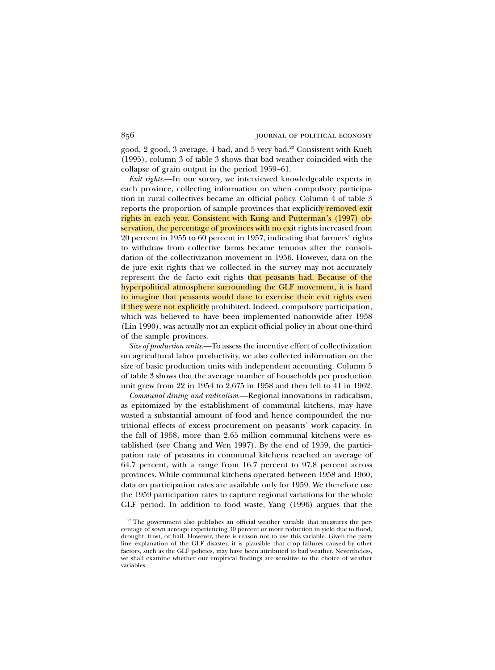good, 2 good, 3 average, 4 bad, and 5 very bad.<sup>23</sup> Consistent with Kueh (1995), column 3 of table 3 shows that bad weather coincided with the collapse of grain output in the period 1959–61.

*Exit rights*.—In our survey, we interviewed knowledgeable experts in each province, collecting information on when compulsory participation in rural collectives became an official policy. Column 4 of table 3 reports the proportion of sample provinces that explicitly removed exit rights in each year. Consistent with Kung and Putterman's (1997) observation, the percentage of provinces with no exit rights increased from 20 percent in 1955 to 60 percent in 1957, indicating that farmers' rights to withdraw from collective farms became tenuous after the consolidation of the collectivization movement in 1956. However, data on the de jure exit rights that we collected in the survey may not accurately represent the de facto exit rights that peasants had. Because of the hyperpolitical atmosphere surrounding the GLF movement, it is hard to imagine that peasants would dare to exercise their exit rights even if they were not explicitly prohibited. Indeed, compulsory participation, which was believed to have been implemented nationwide after 1958 (Lin 1990), was actually not an explicit official policy in about one-third of the sample provinces.

*Size of production units*.—To assess the incentive effect of collectivization on agricultural labor productivity, we also collected information on the size of basic production units with independent accounting. Column 5 of table 3 shows that the average number of households per production unit grew from 22 in 1954 to 2,675 in 1958 and then fell to 41 in 1962.

*Communal dining and radicalism*.—Regional innovations in radicalism, as epitomized by the establishment of communal kitchens, may have wasted a substantial amount of food and hence compounded the nutritional effects of excess procurement on peasants' work capacity. In the fall of 1958, more than 2.65 million communal kitchens were established (see Chang and Wen 1997). By the end of 1959, the participation rate of peasants in communal kitchens reached an average of 64.7 percent, with a range from 16.7 percent to 97.8 percent across provinces. While communal kitchens operated between 1958 and 1960, data on participation rates are available only for 1959. We therefore use the 1959 participation rates to capture regional variations for the whole GLF period. In addition to food waste, Yang (1996) argues that the

<sup>&</sup>lt;sup>23</sup> The government also publishes an official weather variable that measures the percentage of sown acreage experiencing 30 percent or more reduction in yield due to flood, drought, frost, or hail. However, there is reason not to use this variable. Given the party line explanation of the GLF disaster, it is plausible that crop failures caused by other factors, such as the GLF policies, may have been attributed to bad weather. Nevertheless, we shall examine whether our empirical findings are sensitive to the choice of weather variables.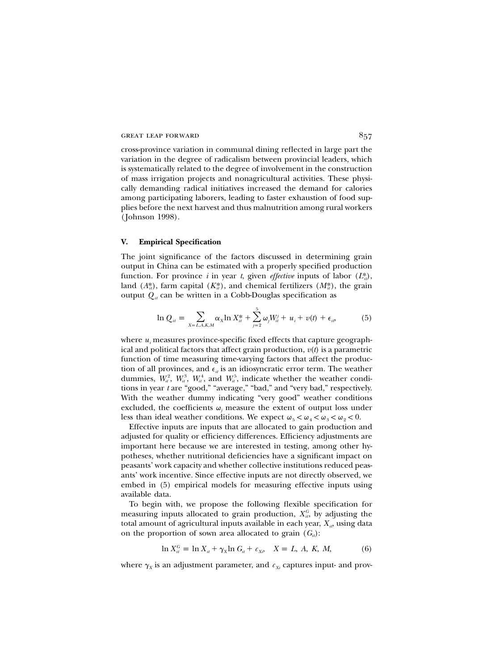cross-province variation in communal dining reflected in large part the variation in the degree of radicalism between provincial leaders, which is systematically related to the degree of involvement in the construction of mass irrigation projects and nonagricultural activities. These physically demanding radical initiatives increased the demand for calories among participating laborers, leading to faster exhaustion of food supplies before the next harvest and thus malnutrition among rural workers (Johnson 1998).

# **V. Empirical Specification**

The joint significance of the factors discussed in determining grain output in China can be estimated with a properly specified production function. For province *i* in year *t*, given *effective* inputs of labor  $(L^*_{ii})$ , land  $(A_{ii}^*)$ , farm capital  $(K_{ii}^*)$ , and chemical fertilizers  $(M_{ii}^*)$ , the grain output  $Q_{it}$  can be written in a Cobb-Douglas specification as

$$
\ln Q_{ii} = \sum_{X=L, A, K, M} \alpha_X \ln X_{it}^* + \sum_{j=2}^5 \omega_j W_{it}^j + u_i + v(t) + \epsilon_{it}
$$
 (5)

where  $u_i$  measures province-specific fixed effects that capture geographical and political factors that affect grain production,  $v(t)$  is a parametric function of time measuring time-varying factors that affect the production of all provinces, and  $\epsilon_{ii}$  is an idiosyncratic error term. The weather dummies,  $W_{it}^2$ ,  $W_{it}^3$ ,  $W_{it}^4$ , and  $W_{it}^5$ , indicate whether the weather conditions in year *t* are "good," "average," "bad," and "very bad," respectively. With the weather dummy indicating "very good" weather conditions excluded, the coefficients  $\omega_i$  measure the extent of output loss under less than ideal weather conditions. We expect  $\omega_5 < \omega_4 < \omega_3 < \omega_2 < 0$ .

Effective inputs are inputs that are allocated to gain production and adjusted for quality or efficiency differences. Efficiency adjustments are important here because we are interested in testing, among other hypotheses, whether nutritional deficiencies have a significant impact on peasants' work capacity and whether collective institutions reduced peasants' work incentive. Since effective inputs are not directly observed, we embed in (5) empirical models for measuring effective inputs using available data.

To begin with, we propose the following flexible specification for measuring inputs allocated to grain production,  $X_{ii}^G$ , by adjusting the total amount of agricultural inputs available in each year,  $X_{i}$ , using data on the proportion of sown area allocated to grain  $(G<sub>i</sub>)$ :

$$
\ln X_{ii}^G = \ln X_{ii} + \gamma_X \ln G_{ii} + c_{Xi}, \quad X = L, A, K, M,
$$
 (6)

where  $\gamma_X$  is an adjustment parameter, and  $c_{X_i}$  captures input- and prov-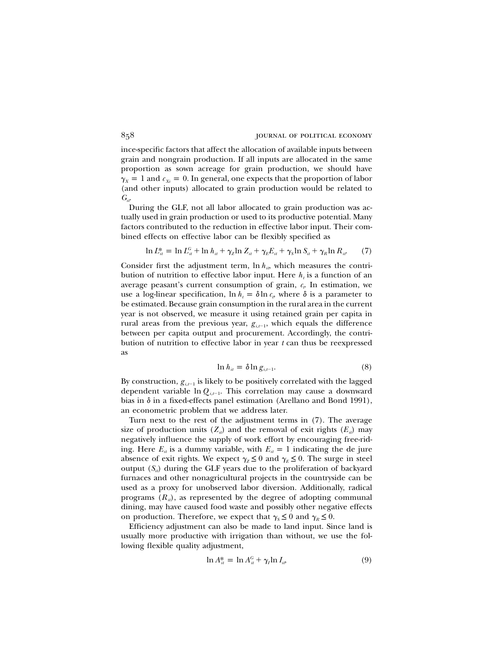ince-specific factors that affect the allocation of available inputs between grain and nongrain production. If all inputs are allocated in the same proportion as sown acreage for grain production, we should have  $\gamma_{\text{X}} = 1$  and  $c_{\text{X}i} = 0$ . In general, one expects that the proportion of labor (and other inputs) allocated to grain production would be related to  $G_i$ .

During the GLF, not all labor allocated to grain production was actually used in grain production or used to its productive potential. Many factors contributed to the reduction in effective labor input. Their combined effects on effective labor can be flexibly specified as

$$
\ln L_{it}^* = \ln L_{it}^G + \ln h_{it} + \gamma_Z \ln Z_{it} + \gamma_E E_{it} + \gamma_S \ln S_{it} + \gamma_R \ln R_{it} \tag{7}
$$

Consider first the adjustment term,  $\ln h_{in}$  which measures the contribution of nutrition to effective labor input. Here  $h_t$  is a function of an average peasant's current consumption of grain,  $c<sub>r</sub>$ . In estimation, we use a log-linear specification,  $\ln h_t = \delta \ln c_t$ , where  $\delta$  is a parameter to be estimated. Because grain consumption in the rural area in the current year is not observed, we measure it using retained grain per capita in rural areas from the previous year,  $g_{i,t-1}$ , which equals the difference between per capita output and procurement. Accordingly, the contribution of nutrition to effective labor in year *t* can thus be reexpressed as

$$
\ln h_{ii} = \delta \ln g_{i,i-1}.\tag{8}
$$

By construction,  $g_{i,t-1}$  is likely to be positively correlated with the lagged dependent variable  $\ln Q_{i,t-1}$ . This correlation may cause a downward bias in  $\delta$  in a fixed-effects panel estimation (Arellano and Bond 1991), an econometric problem that we address later.

Turn next to the rest of the adjustment terms in (7). The average size of production units  $(Z_{ii})$  and the removal of exit rights  $(E_{ii})$  may negatively influence the supply of work effort by encouraging free-riding. Here  $E_i$  is a dummy variable, with  $E_i = 1$  indicating the de jure absence of exit rights. We expect  $\gamma_z \leq 0$  and  $\gamma_{\rm E} \leq 0$ . The surge in steel output  $(S_i)$  during the GLF years due to the proliferation of backyard furnaces and other nonagricultural projects in the countryside can be used as a proxy for unobserved labor diversion. Additionally, radical programs  $(R_{ii})$ , as represented by the degree of adopting communal dining, may have caused food waste and possibly other negative effects on production. Therefore, we expect that  $\gamma_s \leq 0$  and  $\gamma_R \leq 0$ .

Efficiency adjustment can also be made to land input. Since land is usually more productive with irrigation than without, we use the following flexible quality adjustment,

$$
\ln A_{it}^* = \ln A_{it}^G + \gamma_l \ln I_{it}
$$
\n(9)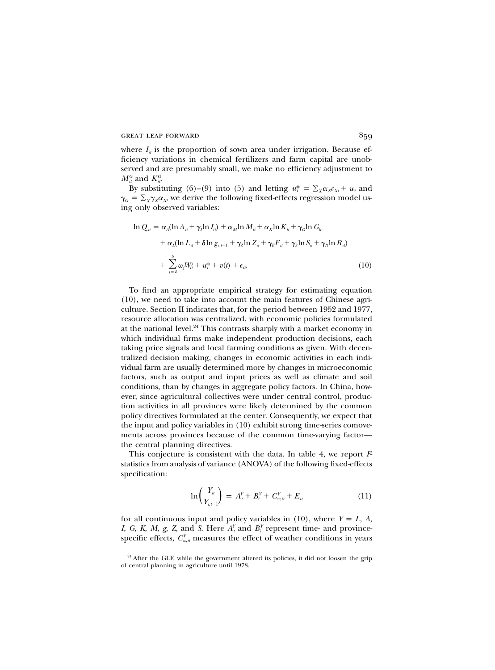where  $I_i$  is the proportion of sown area under irrigation. Because efficiency variations in chemical fertilizers and farm capital are unobserved and are presumably small, we make no efficiency adjustment to  $M_{it}^G$  and  $K_{it}^G$ .

By substituting (6)–(9) into (5) and letting  $u_i^* = \sum_{x} \alpha_x c_{xi} + u_i$  and  $\gamma_{\rm G} = \sum_{x} \gamma_{x} \alpha_{x}$  we derive the following fixed-effects regression model using only observed variables:

$$
\ln Q_{ii} = \alpha_A (\ln A_{ii} + \gamma_I \ln I_{ii}) + \alpha_M \ln M_{ii} + \alpha_K \ln K_{ii} + \gamma_G \ln G_{ii}
$$
  
+  $\alpha_L (\ln L_{ii} + \delta \ln g_{i,i-1} + \gamma_Z \ln Z_{ii} + \gamma_E E_{ii} + \gamma_S \ln S_{ii} + \gamma_R \ln R_{ii})$   
+  $\sum_{j=2}^5 \omega_j W^j_{ii} + u^*_i + v(t) + \epsilon_{ii}.$  (10)

To find an appropriate empirical strategy for estimating equation (10), we need to take into account the main features of Chinese agriculture. Section II indicates that, for the period between 1952 and 1977, resource allocation was centralized, with economic policies formulated at the national level.<sup>24</sup> This contrasts sharply with a market economy in which individual firms make independent production decisions, each taking price signals and local farming conditions as given. With decentralized decision making, changes in economic activities in each individual farm are usually determined more by changes in microeconomic factors, such as output and input prices as well as climate and soil conditions, than by changes in aggregate policy factors. In China, however, since agricultural collectives were under central control, production activities in all provinces were likely determined by the common policy directives formulated at the center. Consequently, we expect that the input and policy variables in (10) exhibit strong time-series comovements across provinces because of the common time-varying factor the central planning directives.

This conjecture is consistent with the data. In table 4, we report *F*statistics from analysis of variance (ANOVA) of the following fixed-effects specification:

$$
\ln\left(\frac{Y_{ii}}{Y_{i,t-1}}\right) = A_t^Y + B_i^Y + C_{w,ii}^Y + E_{ii}
$$
\n(11)

for all continuous input and policy variables in (10), where  $Y = L$ , *A*, *I*, *G*, *K*, *M*, *g*, *Z*, and *S*. Here  $A_i^Y$  and  $B_i^Y$  represent time- and provincespecific effects,  $C_{w,i}^{Y}$  measures the effect of weather conditions in years

<sup>&</sup>lt;sup>24</sup> After the GLF, while the government altered its policies, it did not loosen the grip of central planning in agriculture until 1978.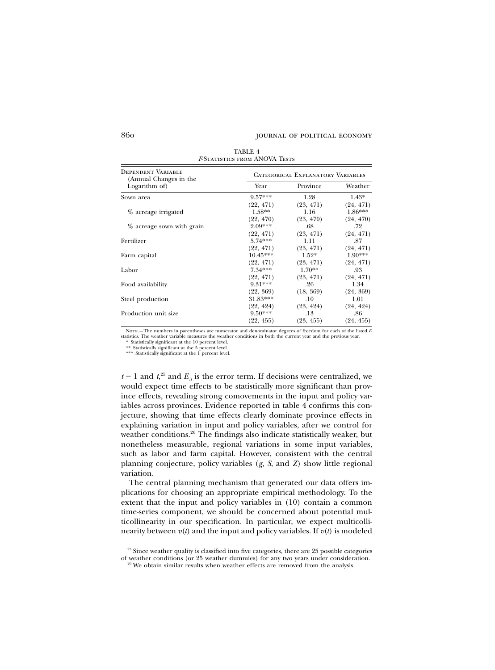| <b>DEPENDENT VARIABLE</b><br>(Annual Changes in the | CATEGORICAL EXPLANATORY VARIABLES |           |           |  |  |  |
|-----------------------------------------------------|-----------------------------------|-----------|-----------|--|--|--|
| Logarithm of)                                       | Year                              | Province  | Weather   |  |  |  |
| Sown area                                           | $9.57***$                         | 1.28      | $1.43*$   |  |  |  |
|                                                     | (22, 471)                         | (23, 471) | (24, 471) |  |  |  |
| % acreage irrigated                                 | $1.58**$                          | 1.16      | $1.86***$ |  |  |  |
|                                                     | (22, 470)                         | (23, 470) | (24, 470) |  |  |  |
| % acreage sown with grain                           | $2.09***$                         | .68       | .72       |  |  |  |
|                                                     | (22, 471)                         | (23, 471) | (24, 471) |  |  |  |
| Fertilizer                                          | $5.74***$                         | 1.11      | .87       |  |  |  |
|                                                     | (22, 471)                         | (23, 471) | (24, 471) |  |  |  |
| Farm capital                                        | $10.45***$                        | $1.52*$   | $1.90***$ |  |  |  |
|                                                     | (22, 471)                         | (23, 471) | (24, 471) |  |  |  |
| Labor                                               | $7.34***$                         | $1.70**$  | .93       |  |  |  |
|                                                     | (22, 471)                         | (23, 471) | (24, 471) |  |  |  |
| Food availability                                   | 9.31***                           | .26       | 1.34      |  |  |  |
|                                                     | (22, 369)                         | (18, 369) | (24, 369) |  |  |  |
| Steel production                                    | 31.83***                          | $.10\,$   | 1.01      |  |  |  |
|                                                     | (22, 424)                         | (23, 424) | (24, 424) |  |  |  |
| Production unit size                                | $9.50***$                         | .13       | .86       |  |  |  |
|                                                     | (22, 455)                         | (23, 455) | (24, 455) |  |  |  |

TABLE 4 **FSTATISTICS FROM ANOVA TESTS** 

NOTE. - The numbers in parentheses are numerator and denominator degrees of freedom for each of the listed *F*statistics. The weather variable measures the weather conditions in both the current year and the previous year. \* Statistically significant at the 10 percent level.

\*\* Statistically significant at the 5 percent level. \*\*\* Statistically significant at the 1 percent level.

 $t-1$  and  $t^{25}$  and  $E_{it}$  is the error term. If decisions were centralized, we would expect time effects to be statistically more significant than province effects, revealing strong comovements in the input and policy variables across provinces. Evidence reported in table 4 confirms this conjecture, showing that time effects clearly dominate province effects in explaining variation in input and policy variables, after we control for weather conditions.<sup>26</sup> The findings also indicate statistically weaker, but nonetheless measurable, regional variations in some input variables, such as labor and farm capital. However, consistent with the central planning conjecture, policy variables (*g*, *S*, and *Z*) show little regional variation.

The central planning mechanism that generated our data offers implications for choosing an appropriate empirical methodology. To the extent that the input and policy variables in (10) contain a common time-series component, we should be concerned about potential multicollinearity in our specification. In particular, we expect multicollinearity between  $v(t)$  and the input and policy variables. If  $v(t)$  is modeled

<sup>&</sup>lt;sup>25</sup> Since weather quality is classified into five categories, there are 25 possible categories of weather conditions (or 25 weather dummies) for any two years under consideration.

<sup>&</sup>lt;sup>26</sup> We obtain similar results when weather effects are removed from the analysis.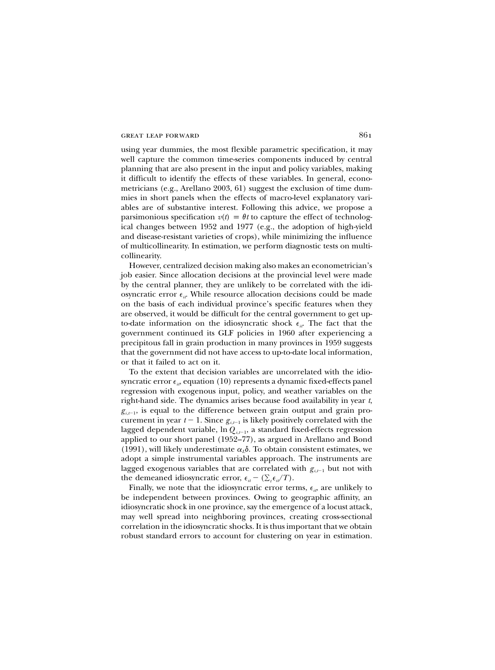using year dummies, the most flexible parametric specification, it may well capture the common time-series components induced by central planning that are also present in the input and policy variables, making it difficult to identify the effects of these variables. In general, econometricians (e.g., Arellano 2003, 61) suggest the exclusion of time dummies in short panels when the effects of macro-level explanatory variables are of substantive interest. Following this advice, we propose a parsimonious specification  $v(t) = \theta t$  to capture the effect of technological changes between 1952 and 1977 (e.g., the adoption of high-yield and disease-resistant varieties of crops), while minimizing the influence of multicollinearity. In estimation, we perform diagnostic tests on multicollinearity.

However, centralized decision making also makes an econometrician's job easier. Since allocation decisions at the provincial level were made by the central planner, they are unlikely to be correlated with the idiosyncratic error  $\epsilon_{ir}$ . While resource allocation decisions could be made on the basis of each individual province's specific features when they are observed, it would be difficult for the central government to get upto-date information on the idiosyncratic shock  $\epsilon_{ir}$ . The fact that the government continued its GLF policies in 1960 after experiencing a precipitous fall in grain production in many provinces in 1959 suggests that the government did not have access to up-to-date local information, or that it failed to act on it.

To the extent that decision variables are uncorrelated with the idiosyncratic error  $\epsilon_{i}$ , equation (10) represents a dynamic fixed-effects panel regression with exogenous input, policy, and weather variables on the right-hand side. The dynamics arises because food availability in year *t*,  $g_{i,t-1}$ , is equal to the difference between grain output and grain procurement in year  $t - 1$ . Since  $g_{i,t-1}$  is likely positively correlated with the lagged dependent variable,  $\ln Q_{i,t-1}$ , a standard fixed-effects regression applied to our short panel (1952–77), as argued in Arellano and Bond (1991), will likely underestimate  $\alpha_L \delta$ . To obtain consistent estimates, we adopt a simple instrumental variables approach. The instruments are lagged exogenous variables that are correlated with  $g_{i,t-1}$  but not with the demeaned idiosyncratic error,  $\epsilon_{it} - (\sum_i \epsilon_{it}/T)$ .

Finally, we note that the idiosyncratic error terms,  $\epsilon_{in}$  are unlikely to be independent between provinces. Owing to geographic affinity, an idiosyncratic shock in one province, say the emergence of a locust attack, may well spread into neighboring provinces, creating cross-sectional correlation in the idiosyncratic shocks. It is thus important that we obtain robust standard errors to account for clustering on year in estimation.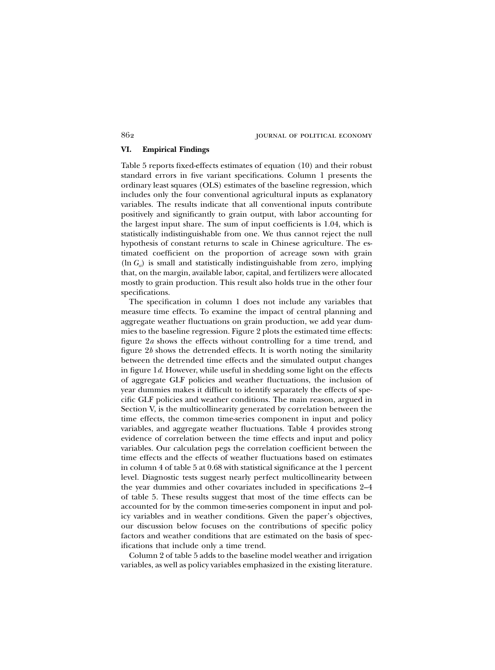# **VI. Empirical Findings**

Table 5 reports fixed-effects estimates of equation (10) and their robust standard errors in five variant specifications. Column 1 presents the ordinary least squares (OLS) estimates of the baseline regression, which includes only the four conventional agricultural inputs as explanatory variables. The results indicate that all conventional inputs contribute positively and significantly to grain output, with labor accounting for the largest input share. The sum of input coefficients is 1.04, which is statistically indistinguishable from one. We thus cannot reject the null hypothesis of constant returns to scale in Chinese agriculture. The estimated coefficient on the proportion of acreage sown with grain  $(\ln G_i)$  is small and statistically indistinguishable from zero, implying that, on the margin, available labor, capital, and fertilizers were allocated mostly to grain production. This result also holds true in the other four specifications.

The specification in column 1 does not include any variables that measure time effects. To examine the impact of central planning and aggregate weather fluctuations on grain production, we add year dummies to the baseline regression. Figure 2 plots the estimated time effects: figure 2*a* shows the effects without controlling for a time trend, and figure 2*b* shows the detrended effects. It is worth noting the similarity between the detrended time effects and the simulated output changes in figure 1*d*. However, while useful in shedding some light on the effects of aggregate GLF policies and weather fluctuations, the inclusion of year dummies makes it difficult to identify separately the effects of specific GLF policies and weather conditions. The main reason, argued in Section V, is the multicollinearity generated by correlation between the time effects, the common time-series component in input and policy variables, and aggregate weather fluctuations. Table 4 provides strong evidence of correlation between the time effects and input and policy variables. Our calculation pegs the correlation coefficient between the time effects and the effects of weather fluctuations based on estimates in column 4 of table 5 at 0.68 with statistical significance at the 1 percent level. Diagnostic tests suggest nearly perfect multicollinearity between the year dummies and other covariates included in specifications 2–4 of table 5. These results suggest that most of the time effects can be accounted for by the common time-series component in input and policy variables and in weather conditions. Given the paper's objectives, our discussion below focuses on the contributions of specific policy factors and weather conditions that are estimated on the basis of specifications that include only a time trend.

Column 2 of table 5 adds to the baseline model weather and irrigation variables, as well as policy variables emphasized in the existing literature.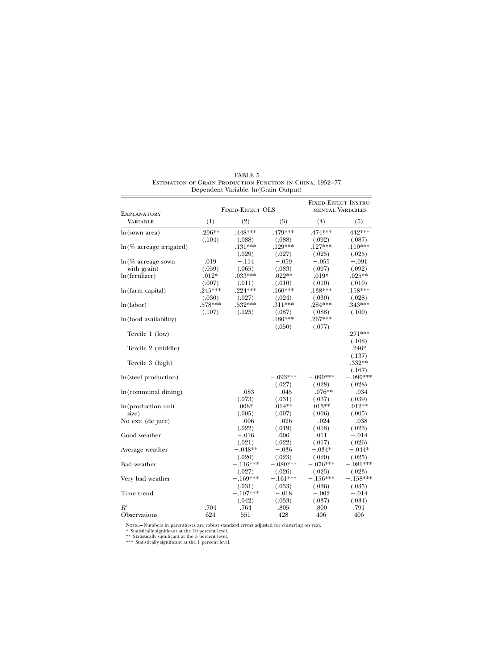| <b>EXPLANATORY</b>         |           | <b>FIXED-EFFECT OLS</b> | FIXED-EFFECT INSTRU-<br>MENTAL VARIABLES |            |            |
|----------------------------|-----------|-------------------------|------------------------------------------|------------|------------|
| VARIABLE                   | (1)       | (2)                     | (3)                                      | (4)        | (5)        |
| ln(sown area)              | $.206**$  | .448***                 | .479***                                  | $.474***$  | $.442***$  |
|                            | (.104)    | (.088)                  | (.088)                                   | (.092)     | (.087)     |
| $ln($ % acreage irrigated) |           | $.131***$               | $.129***$                                | $.127***$  | $.110***$  |
|                            |           | (.029)                  | (.027)                                   | (.025)     | (.025)     |
| $ln(\%$ acreage sown       | .019      | $-.114$                 | $-.059$                                  | $-.055$    | $-.091$    |
| with grain)                | (.059)    | (.065)                  | (.083)                                   | (.097)     | (.092)     |
| ln (fertilizer)            | $.012*$   | $.033***$               | $.022**$                                 | $.019*$    | $.025**$   |
|                            | (.007)    | (.011)                  | (.010)                                   | (.010)     | (.010)     |
| ln (farm capital)          | $.245***$ | $.224***$               | $.160***$                                | .138***    | .158***    |
|                            | (.030)    | (.027)                  | (.024)                                   | (.030)     | (.028)     |
| ln(labor)                  | .578***   | .532***                 | $.311***$                                | $.284***$  | $.343***$  |
|                            | (.107)    | (.125)                  | (.087)                                   | (.088)     | (.100)     |
| In (food availability)     |           |                         | $.180***$                                | .267***    |            |
|                            |           |                         | (.050)                                   | (.077)     |            |
| Tercile 1 (low)            |           |                         |                                          |            | .271***    |
|                            |           |                         |                                          |            | (.108)     |
| Tercile 2 (middle)         |           |                         |                                          |            | $.246*$    |
|                            |           |                         |                                          |            | (.137)     |
| Tercile 3 (high)           |           |                         |                                          |            | $.332**$   |
|                            |           |                         |                                          |            | (.167)     |
| In (steel production)      |           |                         | $-.093***$                               | $-.099***$ | $-.090***$ |
|                            |           |                         | (.027)                                   | (.028)     | (.028)     |
| ln(communal dining)        |           | $-.083$                 | $-.045$                                  | $-.076**$  | $-.034$    |
|                            |           | (.073)                  | (.031)                                   | (.037)     | (.039)     |
| In (production unit)       |           | $.008*$                 | $.014**$                                 | $.013**$   | $.012**$   |
| size)                      |           | (.005)                  | (.007)                                   | (.006)     | (.005)     |
| No exit (de jure)          |           | $-.006$                 | $-.026$                                  | $-.024$    | $-.038$    |
|                            |           | (.022)                  | (.019)                                   | (.018)     | (.023)     |
| Good weather               |           | $-.016$                 | .006                                     | .011       | $-.014$    |
|                            |           | (.021)                  | (.022)                                   | (.017)     | (.026)     |
| Average weather            |           | $-.048**$               | $-.036$                                  | $-.034*$   | $-.044*$   |
|                            |           | (.020)                  | (.023)                                   | (.020)     | (.025)     |
| Bad weather                |           | $-.116***$              | $-.080***$                               | $-.076***$ | $-.081***$ |
|                            |           | (.027)                  | (.026)                                   | (.023)     | (.023)     |
| Very bad weather           |           | $-.169***$              | $-.161***$                               | $-.156***$ | $-.158***$ |
|                            |           | (.031)                  | (.033)                                   | (.036)     | (.035)     |
| Time trend                 |           | $-.107***$              | $-.018$                                  | $-.002$    | $-.014$    |
|                            |           | (.042)                  | (.033)                                   | (.037)     | (.034)     |
| $R^2$                      | .704      | .764                    | .805                                     | .800       | .791       |
| <b>Observations</b>        | 624       | 551                     | 428                                      | 406        | 406        |

TABLE 5 Estimation of Grain Production Function in China, 1952–77 Dependent Variable: ln(Grain Output)

Norre.—Numbers in parentheses are robust standard errors adjusted for clustering on year.<br>\* Statistically significant at the 10 percent level.<br>\*\* Statistically significant at the 5 percent level.<br>\*\*\* Statistically signific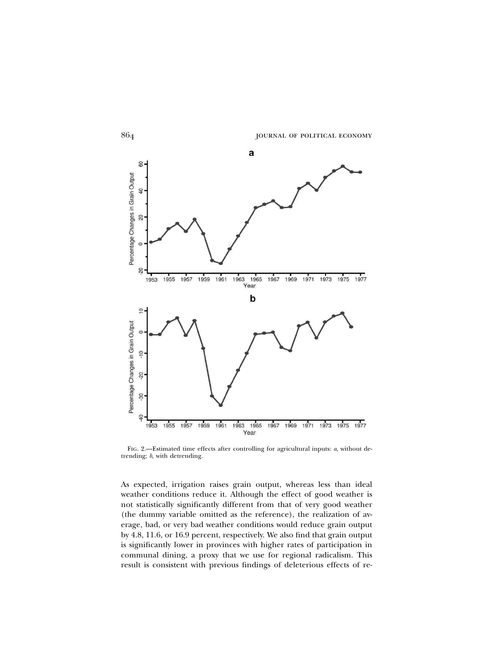

Fig. 2.—Estimated time effects after controlling for agricultural inputs: *a*, without detrending; *b*, with detrending.

As expected, irrigation raises grain output, whereas less than ideal weather conditions reduce it. Although the effect of good weather is not statistically significantly different from that of very good weather (the dummy variable omitted as the reference), the realization of average, bad, or very bad weather conditions would reduce grain output by 4.8, 11.6, or 16.9 percent, respectively. We also find that grain output is significantly lower in provinces with higher rates of participation in communal dining, a proxy that we use for regional radicalism. This result is consistent with previous findings of deleterious effects of re-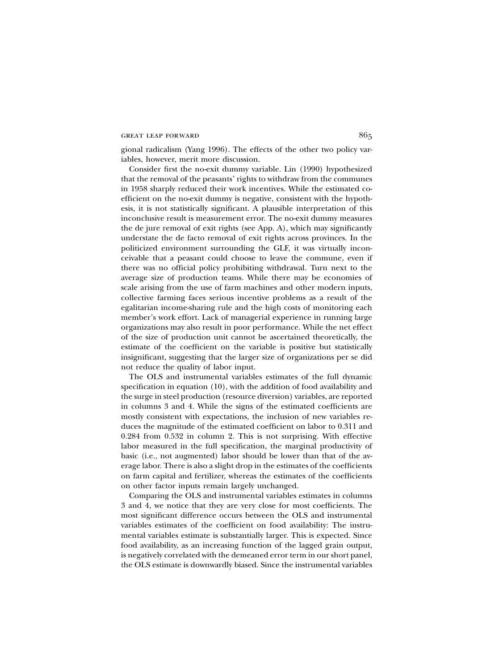gional radicalism (Yang 1996). The effects of the other two policy variables, however, merit more discussion.

Consider first the no-exit dummy variable. Lin (1990) hypothesized that the removal of the peasants' rights to withdraw from the communes in 1958 sharply reduced their work incentives. While the estimated coefficient on the no-exit dummy is negative, consistent with the hypothesis, it is not statistically significant. A plausible interpretation of this inconclusive result is measurement error. The no-exit dummy measures the de jure removal of exit rights (see App. A), which may significantly understate the de facto removal of exit rights across provinces. In the politicized environment surrounding the GLF, it was virtually inconceivable that a peasant could choose to leave the commune, even if there was no official policy prohibiting withdrawal. Turn next to the average size of production teams. While there may be economies of scale arising from the use of farm machines and other modern inputs, collective farming faces serious incentive problems as a result of the egalitarian income-sharing rule and the high costs of monitoring each member's work effort. Lack of managerial experience in running large organizations may also result in poor performance. While the net effect of the size of production unit cannot be ascertained theoretically, the estimate of the coefficient on the variable is positive but statistically insignificant, suggesting that the larger size of organizations per se did not reduce the quality of labor input.

The OLS and instrumental variables estimates of the full dynamic specification in equation (10), with the addition of food availability and the surge in steel production (resource diversion) variables, are reported in columns 3 and 4. While the signs of the estimated coefficients are mostly consistent with expectations, the inclusion of new variables reduces the magnitude of the estimated coefficient on labor to 0.311 and 0.284 from 0.532 in column 2. This is not surprising. With effective labor measured in the full specification, the marginal productivity of basic (i.e., not augmented) labor should be lower than that of the average labor. There is also a slight drop in the estimates of the coefficients on farm capital and fertilizer, whereas the estimates of the coefficients on other factor inputs remain largely unchanged.

Comparing the OLS and instrumental variables estimates in columns 3 and 4, we notice that they are very close for most coefficients. The most significant difference occurs between the OLS and instrumental variables estimates of the coefficient on food availability: The instrumental variables estimate is substantially larger. This is expected. Since food availability, as an increasing function of the lagged grain output, is negatively correlated with the demeaned error term in our short panel, the OLS estimate is downwardly biased. Since the instrumental variables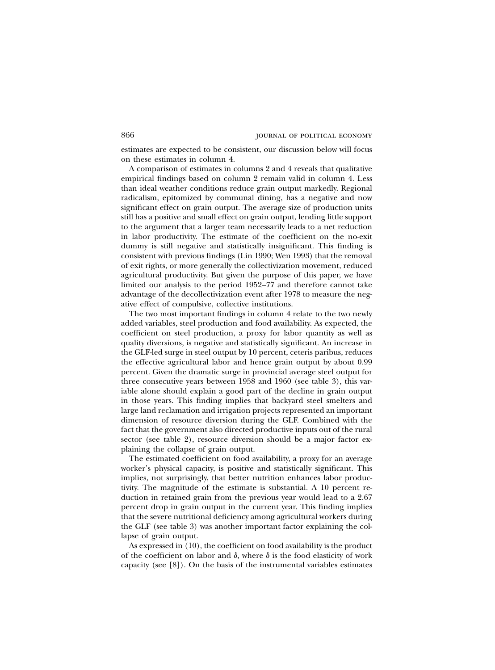estimates are expected to be consistent, our discussion below will focus on these estimates in column 4.

A comparison of estimates in columns 2 and 4 reveals that qualitative empirical findings based on column 2 remain valid in column 4. Less than ideal weather conditions reduce grain output markedly. Regional radicalism, epitomized by communal dining, has a negative and now significant effect on grain output. The average size of production units still has a positive and small effect on grain output, lending little support to the argument that a larger team necessarily leads to a net reduction in labor productivity. The estimate of the coefficient on the no-exit dummy is still negative and statistically insignificant. This finding is consistent with previous findings (Lin 1990; Wen 1993) that the removal of exit rights, or more generally the collectivization movement, reduced agricultural productivity. But given the purpose of this paper, we have limited our analysis to the period 1952–77 and therefore cannot take advantage of the decollectivization event after 1978 to measure the negative effect of compulsive, collective institutions.

The two most important findings in column 4 relate to the two newly added variables, steel production and food availability. As expected, the coefficient on steel production, a proxy for labor quantity as well as quality diversions, is negative and statistically significant. An increase in the GLF-led surge in steel output by 10 percent, ceteris paribus, reduces the effective agricultural labor and hence grain output by about 0.99 percent. Given the dramatic surge in provincial average steel output for three consecutive years between 1958 and 1960 (see table 3), this variable alone should explain a good part of the decline in grain output in those years. This finding implies that backyard steel smelters and large land reclamation and irrigation projects represented an important dimension of resource diversion during the GLF. Combined with the fact that the government also directed productive inputs out of the rural sector (see table 2), resource diversion should be a major factor explaining the collapse of grain output.

The estimated coefficient on food availability, a proxy for an average worker's physical capacity, is positive and statistically significant. This implies, not surprisingly, that better nutrition enhances labor productivity. The magnitude of the estimate is substantial. A 10 percent reduction in retained grain from the previous year would lead to a 2.67 percent drop in grain output in the current year. This finding implies that the severe nutritional deficiency among agricultural workers during the GLF (see table 3) was another important factor explaining the collapse of grain output.

As expressed in (10), the coefficient on food availability is the product of the coefficient on labor and  $\delta$ , where  $\delta$  is the food elasticity of work capacity (see [8]). On the basis of the instrumental variables estimates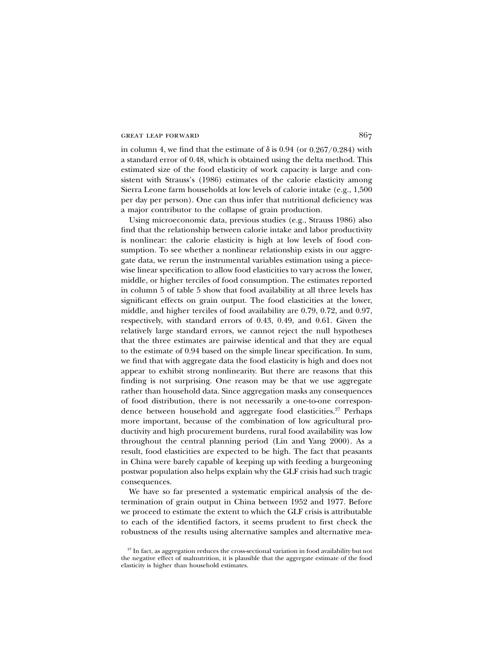in column 4, we find that the estimate of  $\delta$  is 0.94 (or 0.267/0.284) with a standard error of 0.48, which is obtained using the delta method. This estimated size of the food elasticity of work capacity is large and consistent with Strauss's (1986) estimates of the calorie elasticity among Sierra Leone farm households at low levels of calorie intake (e.g., 1,500 per day per person). One can thus infer that nutritional deficiency was a major contributor to the collapse of grain production.

Using microeconomic data, previous studies (e.g., Strauss 1986) also find that the relationship between calorie intake and labor productivity is nonlinear: the calorie elasticity is high at low levels of food consumption. To see whether a nonlinear relationship exists in our aggregate data, we rerun the instrumental variables estimation using a piecewise linear specification to allow food elasticities to vary across the lower, middle, or higher terciles of food consumption. The estimates reported in column 5 of table 5 show that food availability at all three levels has significant effects on grain output. The food elasticities at the lower, middle, and higher terciles of food availability are 0.79, 0.72, and 0.97, respectively, with standard errors of 0.43, 0.49, and 0.61. Given the relatively large standard errors, we cannot reject the null hypotheses that the three estimates are pairwise identical and that they are equal to the estimate of 0.94 based on the simple linear specification. In sum, we find that with aggregate data the food elasticity is high and does not appear to exhibit strong nonlinearity. But there are reasons that this finding is not surprising. One reason may be that we use aggregate rather than household data. Since aggregation masks any consequences of food distribution, there is not necessarily a one-to-one correspondence between household and aggregate food elasticities.<sup>27</sup> Perhaps more important, because of the combination of low agricultural productivity and high procurement burdens, rural food availability was low throughout the central planning period (Lin and Yang 2000). As a result, food elasticities are expected to be high. The fact that peasants in China were barely capable of keeping up with feeding a burgeoning postwar population also helps explain why the GLF crisis had such tragic consequences.

We have so far presented a systematic empirical analysis of the determination of grain output in China between 1952 and 1977. Before we proceed to estimate the extent to which the GLF crisis is attributable to each of the identified factors, it seems prudent to first check the robustness of the results using alternative samples and alternative mea-

<sup>&</sup>lt;sup>27</sup> In fact, as aggregation reduces the cross-sectional variation in food availability but not the negative effect of malnutrition, it is plausible that the aggregate estimate of the food elasticity is higher than household estimates.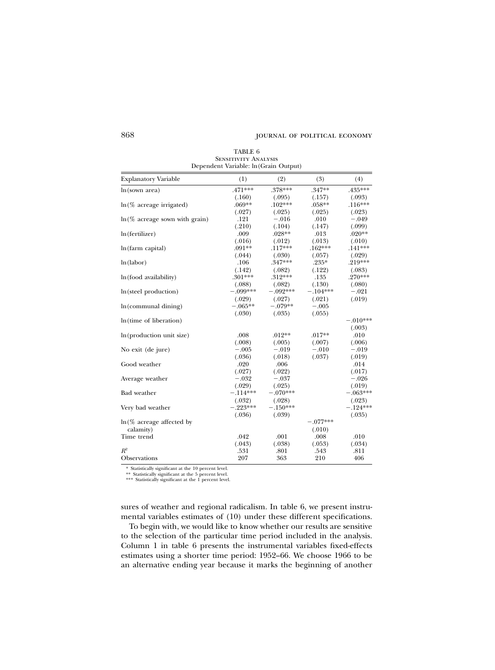| Dependent Variable: ln (Grain Output) |            |            |            |            |  |  |  |
|---------------------------------------|------------|------------|------------|------------|--|--|--|
| <b>Explanatory Variable</b>           | (1)        | (2)        | (3)        | (4)        |  |  |  |
| ln(sown area)                         | $.471***$  | .378***    | $.347**$   | $.435***$  |  |  |  |
|                                       | (.160)     | (.095)     | (.157)     | (.093)     |  |  |  |
| $ln(\%$ acreage irrigated)            | $.069**$   | $.102***$  | $.058**$   | $.116***$  |  |  |  |
|                                       | (.027)     | (.025)     | (.025)     | (.023)     |  |  |  |
| $ln(\%$ acreage sown with grain)      | .121       | $-.016$    | .010       | $-.049$    |  |  |  |
|                                       | (.210)     | (.104)     | (.147)     | (.099)     |  |  |  |
| ln(fertilizer)                        | .009       | $.028**$   | .013       | $.020**$   |  |  |  |
|                                       | (.016)     | (.012)     | (.013)     | (.010)     |  |  |  |
| ln (farm capital)                     | $.091**$   | $.117***$  | $.162***$  | $.141***$  |  |  |  |
|                                       | (.044)     | (.030)     | (.057)     | (.029)     |  |  |  |
| ln(labor)                             | .106       | $.347***$  | $.235*$    | $.219***$  |  |  |  |
|                                       | (.142)     | (.082)     | (.122)     | (.083)     |  |  |  |
| In (food availability)                | $.301***$  | $.312***$  | .135       | $.270***$  |  |  |  |
|                                       | (.088)     | (.082)     | (.130)     | (.080)     |  |  |  |
| In(steel production)                  | $-.099***$ | $-.092***$ | $-.104***$ | $-.021$    |  |  |  |
|                                       | (.029)     | (.027)     | (.021)     | (.019)     |  |  |  |
| ln(commund dining)                    | $-.065**$  | $-.079**$  | $-.005$    |            |  |  |  |
|                                       | (.030)     | (.035)     | (.055)     |            |  |  |  |
| In (time of liberation)               |            |            |            | $-.010***$ |  |  |  |
|                                       |            |            |            | (.003)     |  |  |  |
| In (production unit size)             | .008       | $.012**$   | $.017**$   | .010       |  |  |  |
|                                       | (.008)     | (.005)     | (.007)     | (.006)     |  |  |  |
| No exit (de jure)                     | $-.005$    | $-.019$    | $-.010$    | $-.019$    |  |  |  |
|                                       | (.036)     | (.018)     | (.037)     | (.019)     |  |  |  |
| Good weather                          | .020       | .006       |            | .014       |  |  |  |
|                                       | (.027)     | (.022)     |            | (.017)     |  |  |  |
| Average weather                       | $-.032$    | $-.037$    |            | $-.026$    |  |  |  |
|                                       | (.029)     | (.025)     |            | (.019)     |  |  |  |
| Bad weather                           | $-.114***$ | $-.070***$ |            | $-.063***$ |  |  |  |
|                                       | (.032)     | (.028)     |            | (.023)     |  |  |  |
| Very bad weather                      | $-.223***$ | $-.150***$ |            | $-.124***$ |  |  |  |
|                                       | (.036)     | (.039)     |            | (.035)     |  |  |  |
| $ln($ % acreage affected by           |            |            | $-.077***$ |            |  |  |  |
| calamity)                             |            |            | (.010)     |            |  |  |  |
| Time trend                            | .042       | .001       | .008       | .010       |  |  |  |
|                                       | (.043)     | (.038)     | (.053)     | (.034)     |  |  |  |
| $R^2$                                 | .531       | .801       | .543       | .811       |  |  |  |
| Observations                          | 207        | 363        | 210        | 406        |  |  |  |

TABLE 6 Sensitivity Analysis

\* Statistically significant at the 10 percent level. \*\* Statistically significant at the 5 percent level. \*\*\* Statistically significant at the 1 percent level.

sures of weather and regional radicalism. In table 6, we present instrumental variables estimates of (10) under these different specifications.

To begin with, we would like to know whether our results are sensitive to the selection of the particular time period included in the analysis. Column 1 in table 6 presents the instrumental variables fixed-effects estimates using a shorter time period: 1952–66. We choose 1966 to be an alternative ending year because it marks the beginning of another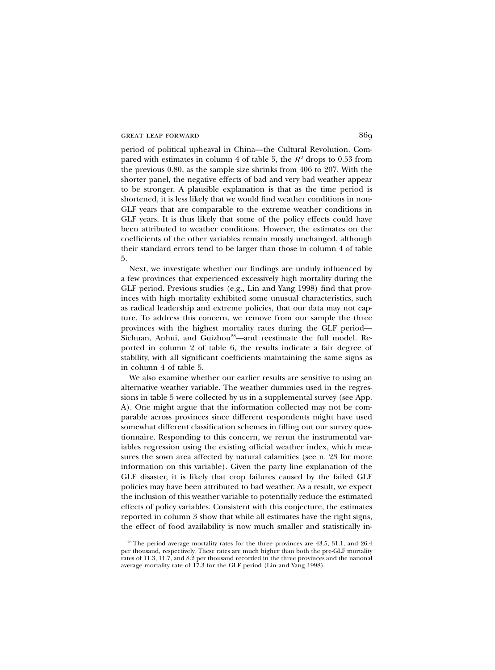period of political upheaval in China—the Cultural Revolution. Compared with estimates in column 4 of table 5, the  $R^2$  drops to 0.53 from the previous 0.80, as the sample size shrinks from 406 to 207. With the shorter panel, the negative effects of bad and very bad weather appear to be stronger. A plausible explanation is that as the time period is shortened, it is less likely that we would find weather conditions in non-GLF years that are comparable to the extreme weather conditions in GLF years. It is thus likely that some of the policy effects could have been attributed to weather conditions. However, the estimates on the coefficients of the other variables remain mostly unchanged, although their standard errors tend to be larger than those in column 4 of table 5.

Next, we investigate whether our findings are unduly influenced by a few provinces that experienced excessively high mortality during the GLF period. Previous studies (e.g., Lin and Yang 1998) find that provinces with high mortality exhibited some unusual characteristics, such as radical leadership and extreme policies, that our data may not capture. To address this concern, we remove from our sample the three provinces with the highest mortality rates during the GLF period— Sichuan, Anhui, and Guizhou<sup>28</sup>—and reestimate the full model. Reported in column 2 of table 6, the results indicate a fair degree of stability, with all significant coefficients maintaining the same signs as in column 4 of table 5.

We also examine whether our earlier results are sensitive to using an alternative weather variable. The weather dummies used in the regressions in table 5 were collected by us in a supplemental survey (see App. A). One might argue that the information collected may not be comparable across provinces since different respondents might have used somewhat different classification schemes in filling out our survey questionnaire. Responding to this concern, we rerun the instrumental variables regression using the existing official weather index, which measures the sown area affected by natural calamities (see n. 23 for more information on this variable). Given the party line explanation of the GLF disaster, it is likely that crop failures caused by the failed GLF policies may have been attributed to bad weather. As a result, we expect the inclusion of this weather variable to potentially reduce the estimated effects of policy variables. Consistent with this conjecture, the estimates reported in column 3 show that while all estimates have the right signs, the effect of food availability is now much smaller and statistically in-

<sup>&</sup>lt;sup>28</sup> The period average mortality rates for the three provinces are 43.5, 31.1, and 26.4 per thousand, respectively. These rates are much higher than both the pre-GLF mortality rates of 11.3, 11.7, and 8.2 per thousand recorded in the three provinces and the national average mortality rate of 17.3 for the GLF period (Lin and Yang 1998).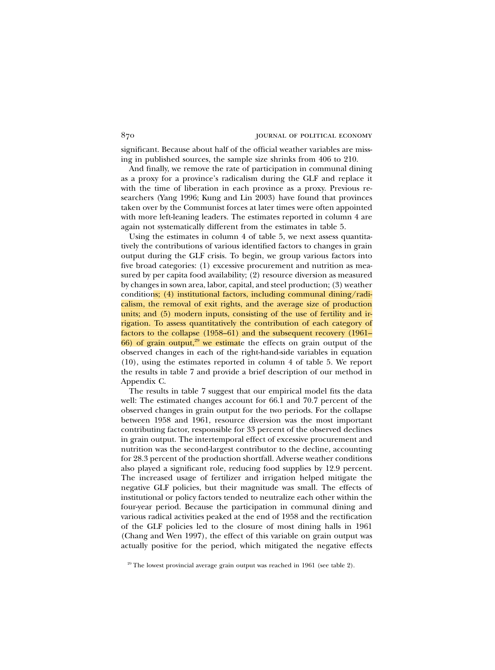significant. Because about half of the official weather variables are missing in published sources, the sample size shrinks from 406 to 210.

And finally, we remove the rate of participation in communal dining as a proxy for a province's radicalism during the GLF and replace it with the time of liberation in each province as a proxy. Previous researchers (Yang 1996; Kung and Lin 2003) have found that provinces taken over by the Communist forces at later times were often appointed with more left-leaning leaders. The estimates reported in column 4 are again not systematically different from the estimates in table 5.

Using the estimates in column 4 of table 5, we next assess quantitatively the contributions of various identified factors to changes in grain output during the GLF crisis. To begin, we group various factors into five broad categories: (1) excessive procurement and nutrition as measured by per capita food availability; (2) resource diversion as measured by changes in sown area, labor, capital, and steel production; (3) weather conditions; (4) institutional factors, including communal dining/radicalism, the removal of exit rights, and the average size of production units; and (5) modern inputs, consisting of the use of fertility and irrigation. To assess quantitatively the contribution of each category of factors to the collapse (1958–61) and the subsequent recovery (1961–  $66$ ) of grain output,<sup>29</sup> we estimate the effects on grain output of the observed changes in each of the right-hand-side variables in equation (10), using the estimates reported in column 4 of table 5. We report the results in table 7 and provide a brief description of our method in Appendix C.

The results in table 7 suggest that our empirical model fits the data well: The estimated changes account for 66.1 and 70.7 percent of the observed changes in grain output for the two periods. For the collapse between 1958 and 1961, resource diversion was the most important contributing factor, responsible for 33 percent of the observed declines in grain output. The intertemporal effect of excessive procurement and nutrition was the second-largest contributor to the decline, accounting for 28.3 percent of the production shortfall. Adverse weather conditions also played a significant role, reducing food supplies by 12.9 percent. The increased usage of fertilizer and irrigation helped mitigate the negative GLF policies, but their magnitude was small. The effects of institutional or policy factors tended to neutralize each other within the four-year period. Because the participation in communal dining and various radical activities peaked at the end of 1958 and the rectification of the GLF policies led to the closure of most dining halls in 1961 (Chang and Wen 1997), the effect of this variable on grain output was actually positive for the period, which mitigated the negative effects

<sup>&</sup>lt;sup>29</sup> The lowest provincial average grain output was reached in 1961 (see table 2).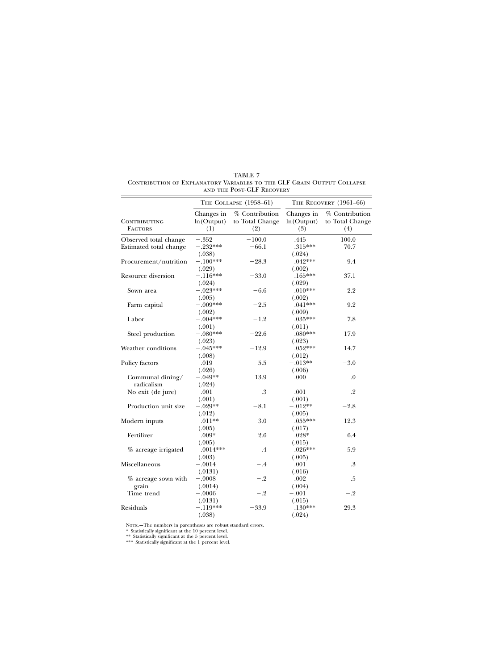|                        |                          | THE COLLAPSE (1958-61)            | THE RECOVERY (1961-66)   |                                   |  |
|------------------------|--------------------------|-----------------------------------|--------------------------|-----------------------------------|--|
| CONTRIBUTING           | Changes in<br>ln(Output) | % Contribution<br>to Total Change | Changes in<br>ln(Output) | % Contribution<br>to Total Change |  |
| <b>FACTORS</b>         | (1)                      | (2)                               | (3)                      | (4)                               |  |
| Observed total change  | $-.352$                  | $-100.0$                          | .445                     | 100.0                             |  |
| Estimated total change | $-.232***$               | $-66.1$                           | .315***                  | 70.7                              |  |
|                        | (.038)                   |                                   | (.024)                   |                                   |  |
| Procurement/nutrition  | $-.100***$               | $-28.3$                           | $.042***$                | 9.4                               |  |
|                        | (.029)                   |                                   | (.002)                   |                                   |  |
| Resource diversion     | $-.116***$               | $-33.0$                           | .165***                  | 37.1                              |  |
|                        | (.024)                   |                                   | (.029)                   |                                   |  |
| Sown area              | $-.023***$               | $-6.6$                            | $.010***$                | 2.2                               |  |
|                        | (.005)                   |                                   | (.002)                   |                                   |  |
| Farm capital           | $-.009***$               | $-2.5$                            | $.041***$                | 9.2                               |  |
|                        | (.002)                   |                                   | (.009)                   |                                   |  |
| Labor                  | $-.004***$               | $-1.2$                            | $.035***$                | 7.8                               |  |
|                        | (.001)                   |                                   | (.011)                   |                                   |  |
| Steel production       | $-.080***$               | $-22.6$                           | $.080***$                | 17.9                              |  |
|                        | (.023)                   |                                   | (.023)                   | 14.7                              |  |
| Weather conditions     | $-.045***$               | $-12.9$                           | $.052***$                |                                   |  |
|                        | (.008)<br>.019           | 5.5                               | (.012)<br>$-.013**$      | $-3.0$                            |  |
| Policy factors         |                          |                                   | (.006)                   |                                   |  |
| Communal dining/       | (.026)<br>$-.049**$      | 13.9                              | .000                     | $_{0}$                            |  |
| radicalism             | (.024)                   |                                   |                          |                                   |  |
| No exit (de jure)      | $-.001$                  | $-.3$                             | $-.001$                  | $-.2$                             |  |
|                        | (.001)                   |                                   | (.001)                   |                                   |  |
| Production unit size   | $-.029**$                | $-8.1$                            | $-.012**$                | $-2.8$                            |  |
|                        | (.012)                   |                                   | (.005)                   |                                   |  |
| Modern inputs          | $.011**$                 | 3.0                               | $.055***$                | 12.3                              |  |
|                        | (.005)                   |                                   | (.017)                   |                                   |  |
| Fertilizer             | $.009*$                  | 2.6                               | $.028*$                  | 6.4                               |  |
|                        | (.005)                   |                                   | (.015)                   |                                   |  |
| % acreage irrigated    | $.0014***$               | $\cdot^4$                         | $.026***$                | 5.9                               |  |
|                        | (.003)                   |                                   | (.005)                   |                                   |  |
| Miscellaneous          | $-.0014$                 | $-.4$                             | .001                     | .3                                |  |
|                        | (.0131)                  |                                   | (.016)                   |                                   |  |
| % acreage sown with    | $-.0008$                 | $-.2$                             | .002                     | .5                                |  |
| grain                  | (.0014)                  |                                   | (.004)                   |                                   |  |
| Time trend             | $-.0006$                 | $-.2$                             | $-.001$                  | $-.2$                             |  |
|                        | (.0131)                  |                                   | (.015)                   |                                   |  |
| Residuals              | $-.119***$               | $-33.9$                           | .130***                  | 29.3                              |  |
|                        | (.038)                   |                                   | (.024)                   |                                   |  |

TABLE 7 Contribution of Explanatory Variables to the GLF Grain Output Collapse and the Post-GLF Recovery

Note.—The numbers in parentheses are robust standard errors. \* Statistically significant at the 10 percent level. \*\* Statistically significant at the 5 percent level. \*\*\* Statistically significant at the 1 percent level.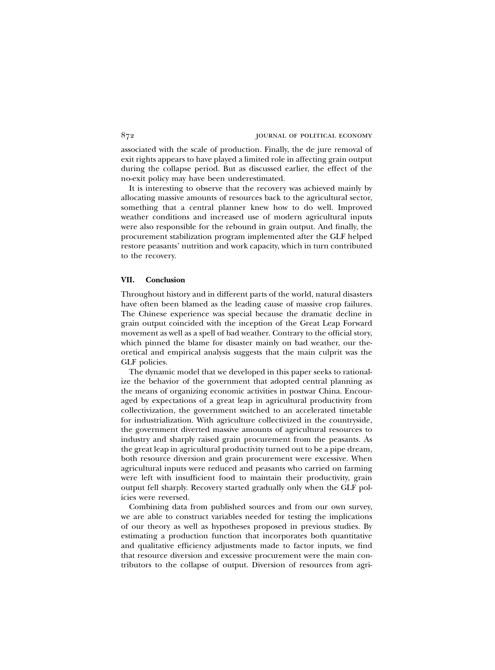associated with the scale of production. Finally, the de jure removal of exit rights appears to have played a limited role in affecting grain output during the collapse period. But as discussed earlier, the effect of the no-exit policy may have been underestimated.

It is interesting to observe that the recovery was achieved mainly by allocating massive amounts of resources back to the agricultural sector, something that a central planner knew how to do well. Improved weather conditions and increased use of modern agricultural inputs were also responsible for the rebound in grain output. And finally, the procurement stabilization program implemented after the GLF helped restore peasants' nutrition and work capacity, which in turn contributed to the recovery.

# **VII. Conclusion**

Throughout history and in different parts of the world, natural disasters have often been blamed as the leading cause of massive crop failures. The Chinese experience was special because the dramatic decline in grain output coincided with the inception of the Great Leap Forward movement as well as a spell of bad weather. Contrary to the official story, which pinned the blame for disaster mainly on bad weather, our theoretical and empirical analysis suggests that the main culprit was the GLF policies.

The dynamic model that we developed in this paper seeks to rationalize the behavior of the government that adopted central planning as the means of organizing economic activities in postwar China. Encouraged by expectations of a great leap in agricultural productivity from collectivization, the government switched to an accelerated timetable for industrialization. With agriculture collectivized in the countryside, the government diverted massive amounts of agricultural resources to industry and sharply raised grain procurement from the peasants. As the great leap in agricultural productivity turned out to be a pipe dream, both resource diversion and grain procurement were excessive. When agricultural inputs were reduced and peasants who carried on farming were left with insufficient food to maintain their productivity, grain output fell sharply. Recovery started gradually only when the GLF policies were reversed.

Combining data from published sources and from our own survey, we are able to construct variables needed for testing the implications of our theory as well as hypotheses proposed in previous studies. By estimating a production function that incorporates both quantitative and qualitative efficiency adjustments made to factor inputs, we find that resource diversion and excessive procurement were the main contributors to the collapse of output. Diversion of resources from agri-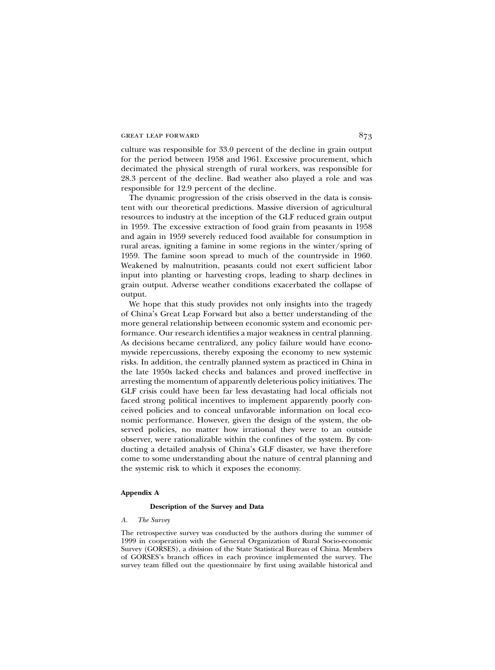culture was responsible for 33.0 percent of the decline in grain output for the period between 1958 and 1961. Excessive procurement, which decimated the physical strength of rural workers, was responsible for 28.3 percent of the decline. Bad weather also played a role and was responsible for 12.9 percent of the decline.

The dynamic progression of the crisis observed in the data is consistent with our theoretical predictions. Massive diversion of agricultural resources to industry at the inception of the GLF reduced grain output in 1959. The excessive extraction of food grain from peasants in 1958 and again in 1959 severely reduced food available for consumption in rural areas, igniting a famine in some regions in the winter/spring of 1959. The famine soon spread to much of the countryside in 1960. Weakened by malnutrition, peasants could not exert sufficient labor input into planting or harvesting crops, leading to sharp declines in grain output. Adverse weather conditions exacerbated the collapse of output.

We hope that this study provides not only insights into the tragedy of China's Great Leap Forward but also a better understanding of the more general relationship between economic system and economic performance. Our research identifies a major weakness in central planning. As decisions became centralized, any policy failure would have economywide repercussions, thereby exposing the economy to new systemic risks. In addition, the centrally planned system as practiced in China in the late 1950s lacked checks and balances and proved ineffective in arresting the momentum of apparently deleterious policy initiatives. The GLF crisis could have been far less devastating had local officials not faced strong political incentives to implement apparently poorly conceived policies and to conceal unfavorable information on local economic performance. However, given the design of the system, the observed policies, no matter how irrational they were to an outside observer, were rationalizable within the confines of the system. By conducting a detailed analysis of China's GLF disaster, we have therefore come to some understanding about the nature of central planning and the systemic risk to which it exposes the economy.

#### **Appendix A**

#### **Description of the Survey and Data**

# *A. The Survey*

The retrospective survey was conducted by the authors during the summer of 1999 in cooperation with the General Organization of Rural Socio-economic Survey (GORSES), a division of the State Statistical Bureau of China. Members of GORSES's branch offices in each province implemented the survey. The survey team filled out the questionnaire by first using available historical and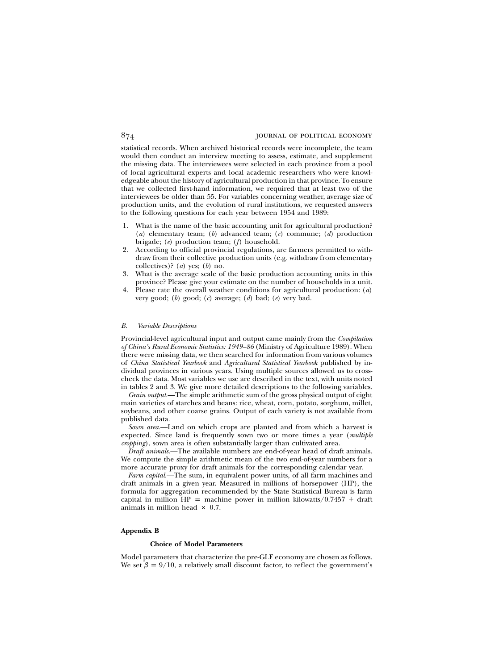### 874 JOURNAL OF POLITICAL ECONOMY

statistical records. When archived historical records were incomplete, the team would then conduct an interview meeting to assess, estimate, and supplement the missing data. The interviewees were selected in each province from a pool of local agricultural experts and local academic researchers who were knowledgeable about the history of agricultural production in that province. To ensure that we collected first-hand information, we required that at least two of the interviewees be older than 55. For variables concerning weather, average size of production units, and the evolution of rural institutions, we requested answers to the following questions for each year between 1954 and 1989:

- 1. What is the name of the basic accounting unit for agricultural production? (*a*) elementary team; (*b*) advanced team; (*c*) commune; (*d*) production brigade; (*e*) production team; (*f*) household.
- 2. According to official provincial regulations, are farmers permitted to withdraw from their collective production units (e.g. withdraw from elementary collectives)? (*a*) yes; (*b*) no.
- 3. What is the average scale of the basic production accounting units in this province? Please give your estimate on the number of households in a unit.
- 4. Please rate the overall weather conditions for agricultural production: (*a*) very good; (*b*) good; (*c*) average; (*d*) bad; (*e*) very bad.

#### *B. Variable Descriptions*

Provincial-level agricultural input and output came mainly from the *Compilation of China's Rural Economic Statistics: 1949–86* (Ministry of Agriculture 1989). When there were missing data, we then searched for information from various volumes of *China Statistical Yearbook* and *Agricultural Statistical Yearbook* published by individual provinces in various years. Using multiple sources allowed us to crosscheck the data. Most variables we use are described in the text, with units noted in tables 2 and 3. We give more detailed descriptions to the following variables.

*Grain output*.—The simple arithmetic sum of the gross physical output of eight main varieties of starches and beans: rice, wheat, corn, potato, sorghum, millet, soybeans, and other coarse grains. Output of each variety is not available from published data.

*Sown area*.—Land on which crops are planted and from which a harvest is expected. Since land is frequently sown two or more times a year (*multiple cropping*), sown area is often substantially larger than cultivated area.

*Draft animals*.—The available numbers are end-of-year head of draft animals. We compute the simple arithmetic mean of the two end-of-year numbers for a more accurate proxy for draft animals for the corresponding calendar year.

*Farm capital*.—The sum, in equivalent power units, of all farm machines and draft animals in a given year. Measured in millions of horsepower (HP), the formula for aggregation recommended by the State Statistical Bureau is farm capital in million HP = machine power in million kilowatts/0.7457 + draft animals in million head  $\times$  0.7.

### **Appendix B**

#### **Choice of Model Parameters**

Model parameters that characterize the pre-GLF economy are chosen as follows. We set  $\beta = 9/10$ , a relatively small discount factor, to reflect the government's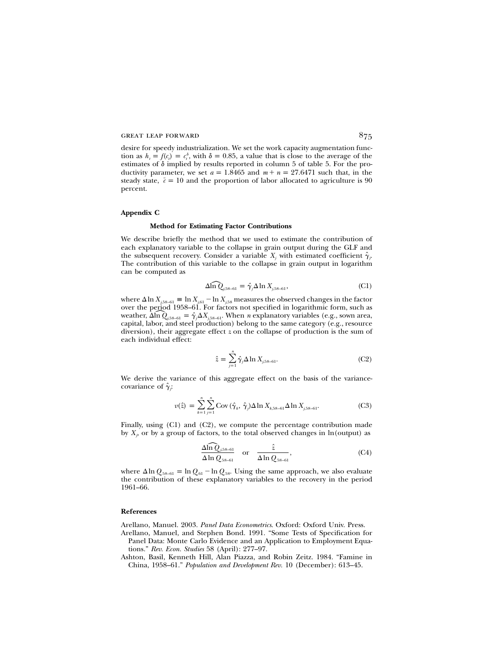desire for speedy industrialization. We set the work capacity augmentation function as  $h_t = f(c_t) = c_t^{\delta}$ , with  $\delta = 0.85$ , a value that is close to the average of the estimates of  $\delta$  implied by results reported in column 5 of table 5. For the productivity parameter, we set  $a = 1.8465$  and  $m + n = 27.6471$  such that, in the steady state,  $\bar{c} = 10$  and the proportion of labor allocated to agriculture is 90 percent.

# **Appendix C**

#### **Method for Estimating Factor Contributions**

We describe briefly the method that we used to estimate the contribution of each explanatory variable to the collapse in grain output during the GLF and the subsequent recovery. Consider a variable  $X_j$  with estimated coefficient  $\hat{\gamma}_j$ . The contribution of this variable to the collapse in grain output in logarithm can be computed as

$$
\widehat{\Delta \ln Q_{j,58-61}} = \hat{\gamma}_j \Delta \ln X_{j,58-61},\tag{C1}
$$

where  $\Delta \ln X_{j,58-61} \equiv \ln X_{j,61} - \ln X_{j,58}$  measures the observed changes in the factor over the period 1958–61. For factors not specified in logarithmic form, such as weather,  $\Delta \ln Q_{i,58-61} = \hat{\gamma}_i \Delta X_{i,58-61}$ . When *n* explanatory variables (e.g., sown area, capital, labor, and steel production) belong to the same category (e.g., resource diversion), their aggregate effect *z* on the collapse of production is the sum of each individual effect:

$$
\hat{z} = \sum_{j=1}^{n} \hat{\gamma}_j \Delta \ln X_{j,58-61}.
$$
 (C2)

We derive the variance of this aggregate effect on the basis of the variancecovariance of  $\hat{\gamma}_j$ :

$$
v(\hat{z}) = \sum_{k=1}^{n} \sum_{j=1}^{n} \text{Cov}(\hat{\gamma}_{k}, \hat{\gamma}_{j}) \Delta \ln X_{k, 58 - 61} \Delta \ln X_{j, 58 - 61}.
$$
 (C3)

Finally, using (C1) and (C2), we compute the percentage contribution made by  $X<sub>o</sub>$  or by a group of factors, to the total observed changes in  $ln(\text{output})$  as

$$
\frac{\Delta \widehat{\ln Q}_{j,58-61}}{\Delta \ln Q_{58-61}} \quad \text{or} \quad \frac{\hat{z}}{\Delta \ln Q_{58-61}}, \tag{C4}
$$

where  $\Delta \ln Q_{58-61} = \ln Q_{61} - \ln Q_{58}$ . Using the same approach, we also evaluate the contribution of these explanatory variables to the recovery in the period 1961–66.

### **References**

Arellano, Manuel. 2003. *Panel Data Econometrics*. Oxford: Oxford Univ. Press.

- Arellano, Manuel, and Stephen Bond. 1991. "Some Tests of Specification for Panel Data: Monte Carlo Evidence and an Application to Employment Equations." *Rev. Econ. Studies* 58 (April): 277–97.
- Ashton, Basil, Kenneth Hill, Alan Piazza, and Robin Zeitz. 1984. "Famine in China, 1958–61." *Population and Development Rev.* 10 (December): 613–45.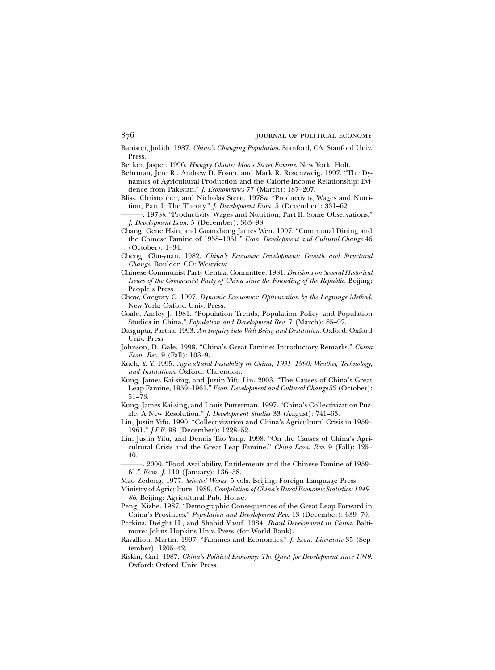- Banister, Judith. 1987. *China's Changing Population*. Stanford, CA: Stanford Univ. Press.
- Becker, Jasper. 1996. *Hungry Ghosts: Mao's Secret Famine*. New York: Holt.
- Behrman, Jere R., Andrew D. Foster, and Mark R. Rosenzweig. 1997. "The Dynamics of Agricultural Production and the Calorie-Income Relationship: Evidence from Pakistan." *J. Econometrics* 77 (March): 187–207.
- Bliss, Christopher, and Nicholas Stern. 1978*a*. "Productivity, Wages and Nutrition, Part I: The Theory." *J. Development Econ.* 5 (December): 331–62.
- ———. 1978*b*. "Productivity, Wages and Nutrition, Part II: Some Observations." *J. Development Econ.* 5 (December): 363–98.
- Chang, Gene Hsin, and Guanzhong James Wen. 1997. "Communal Dining and the Chinese Famine of 1958–1961." *Econ. Development and Cultural Change* 46 (October): 1–34.
- Cheng, Chu-yuan. 1982. *China's Economic Development: Growth and Structural Change*. Boulder, CO: Westview.
- Chinese Communist Party Central Committee. 1981. *Decisions on Several Historical Issues of the Communist Party of China since the Founding of the Republic*. Beijing: People's Press.
- Chow, Gregory C. 1997. *Dynamic Economics: Optimization by the Lagrange Method*. New York: Oxford Univ. Press.
- Coale, Ansley J. 1981. "Population Trends, Population Policy, and Population Studies in China." *Population and Development Rev.* 7 (March): 85–97.
- Dasgupta, Partha. 1993. *An Inquiry into Well-Being and Destitution*. Oxford: Oxford Univ. Press.
- Johnson, D. Gale. 1998. "China's Great Famine: Introductory Remarks." *China Econ. Rev.* 9 (Fall): 103–9.
- Kueh, Y. Y. 1995. *Agricultural Instability in China, 1931–1990: Weather, Technology, and Institutions*. Oxford: Clarendon.
- Kung, James Kai-sing, and Justin Yifu Lin. 2003. "The Causes of China's Great Leap Famine, 1959–1961." *Econ. Development and Cultural Change* 52 (October): 51–73.
- Kung, James Kai-sing, and Louis Putterman. 1997. "China's Collectivization Puzzle: A New Resolution." *J. Development Studies* 33 (August): 741–63.
- Lin, Justin Yifu. 1990. "Collectivization and China's Agricultural Crisis in 1959– 1961." *J.P.E.* 98 (December): 1228–52.
- Lin, Justin Yifu, and Dennis Tao Yang. 1998. "On the Causes of China's Agricultural Crisis and the Great Leap Famine." *China Econ. Rev.* 9 (Fall): 125– 40.
- . 2000. "Food Availability, Entitlements and the Chinese Famine of 1959– 61." *Econ. J.* 110 (January): 136–58.
- Mao Zedong. 1977. *Selected Works*. 5 vols. Beijing: Foreign Language Press.
- Ministry of Agriculture. 1989. *Compilation of China's Rural Economic Statistics: 1949– 86*. Beijing: Agricultural Pub. House.
- Peng, Xizhe. 1987. "Demographic Consequences of the Great Leap Forward in China's Provinces." *Population and Development Rev.* 13 (December): 639–70.
- Perkins, Dwight H., and Shahid Yusuf. 1984. *Rural Development in China*. Baltimore: Johns Hopkins Univ. Press (for World Bank).
- Ravallion, Martin. 1997. "Famines and Economics." *J. Econ. Literature* 35 (September): 1205–42.
- Riskin, Carl. 1987. *China's Political Economy: The Quest for Development since 1949*. Oxford: Oxford Univ. Press.